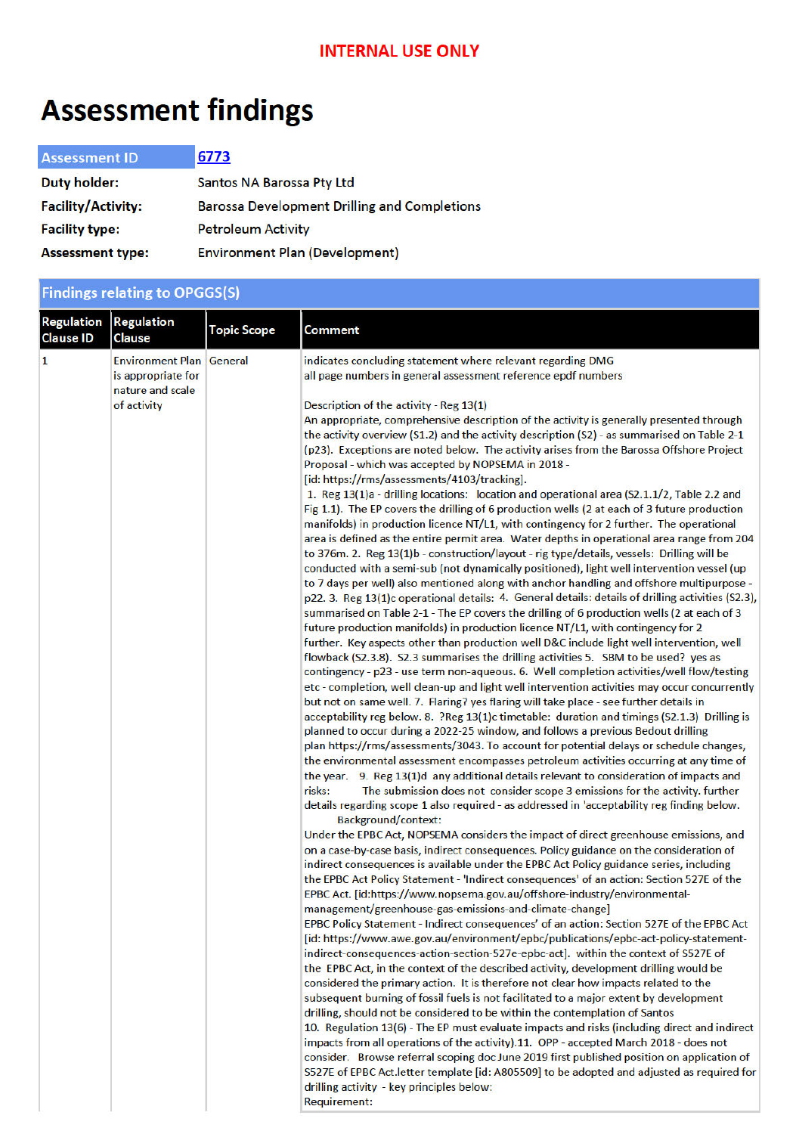# **Assessment findings**

| <b>Assessment ID</b>      | 6773                                                |
|---------------------------|-----------------------------------------------------|
| <b>Duty holder:</b>       | Santos NA Barossa Pty Ltd                           |
| <b>Facility/Activity:</b> | <b>Barossa Development Drilling and Completions</b> |
| <b>Facility type:</b>     | <b>Petroleum Activity</b>                           |
| <b>Assessment type:</b>   | <b>Environment Plan (Development)</b>               |

|                                       | <b>Findings relating to OPGGS(S)</b>                                                     |                    |                                                                                                                                                                                                                                                                                                                                                                                                                                                                                                                                                                                                                                                                                                                                                                                                                                                                                                                                                                                                                                                                                                                                                                                                                                                                                                                                                                                                                                                                                                                                                                                                                                                                                                                                                                                                                                                                                                                                                                                                                                                                                                                                                                                                                                                                                                                                                                                                                                                                                                                                                                                                                                                                                                                                                                                                                                                                                                                                                                                                                                                                                                                                                                                                                                                                                                                                                                                                                                                                                                                                                                                                                                                                                                                                                                                                                                                                                                                                                                                                                                                                                                                                                                                                                                                                                                                                        |  |
|---------------------------------------|------------------------------------------------------------------------------------------|--------------------|----------------------------------------------------------------------------------------------------------------------------------------------------------------------------------------------------------------------------------------------------------------------------------------------------------------------------------------------------------------------------------------------------------------------------------------------------------------------------------------------------------------------------------------------------------------------------------------------------------------------------------------------------------------------------------------------------------------------------------------------------------------------------------------------------------------------------------------------------------------------------------------------------------------------------------------------------------------------------------------------------------------------------------------------------------------------------------------------------------------------------------------------------------------------------------------------------------------------------------------------------------------------------------------------------------------------------------------------------------------------------------------------------------------------------------------------------------------------------------------------------------------------------------------------------------------------------------------------------------------------------------------------------------------------------------------------------------------------------------------------------------------------------------------------------------------------------------------------------------------------------------------------------------------------------------------------------------------------------------------------------------------------------------------------------------------------------------------------------------------------------------------------------------------------------------------------------------------------------------------------------------------------------------------------------------------------------------------------------------------------------------------------------------------------------------------------------------------------------------------------------------------------------------------------------------------------------------------------------------------------------------------------------------------------------------------------------------------------------------------------------------------------------------------------------------------------------------------------------------------------------------------------------------------------------------------------------------------------------------------------------------------------------------------------------------------------------------------------------------------------------------------------------------------------------------------------------------------------------------------------------------------------------------------------------------------------------------------------------------------------------------------------------------------------------------------------------------------------------------------------------------------------------------------------------------------------------------------------------------------------------------------------------------------------------------------------------------------------------------------------------------------------------------------------------------------------------------------------------------------------------------------------------------------------------------------------------------------------------------------------------------------------------------------------------------------------------------------------------------------------------------------------------------------------------------------------------------------------------------------------------------------------------------------------------------------------------------------|--|
| <b>Regulation</b><br><b>Clause ID</b> | <b>Regulation</b><br>Clause                                                              | <b>Topic Scope</b> | <b>Comment</b>                                                                                                                                                                                                                                                                                                                                                                                                                                                                                                                                                                                                                                                                                                                                                                                                                                                                                                                                                                                                                                                                                                                                                                                                                                                                                                                                                                                                                                                                                                                                                                                                                                                                                                                                                                                                                                                                                                                                                                                                                                                                                                                                                                                                                                                                                                                                                                                                                                                                                                                                                                                                                                                                                                                                                                                                                                                                                                                                                                                                                                                                                                                                                                                                                                                                                                                                                                                                                                                                                                                                                                                                                                                                                                                                                                                                                                                                                                                                                                                                                                                                                                                                                                                                                                                                                                                         |  |
| $\mathbf{1}$                          | <b>Environment Plan General</b><br>is appropriate for<br>nature and scale<br>of activity |                    | indicates concluding statement where relevant regarding DMG<br>all page numbers in general assessment reference epdf numbers<br>Description of the activity - Reg 13(1)<br>An appropriate, comprehensive description of the activity is generally presented through<br>the activity overview (S1.2) and the activity description (S2) - as summarised on Table 2-1<br>(p23). Exceptions are noted below. The activity arises from the Barossa Offshore Project<br>Proposal - which was accepted by NOPSEMA in 2018 -<br>[id: https://rms/assessments/4103/tracking].<br>1. Reg 13(1)a - drilling locations: location and operational area (S2.1.1/2, Table 2.2 and<br>Fig 1.1). The EP covers the drilling of 6 production wells (2 at each of 3 future production<br>manifolds) in production licence NT/L1, with contingency for 2 further. The operational<br>area is defined as the entire permit area. Water depths in operational area range from 204<br>to 376m. 2. Reg 13(1)b - construction/layout - rig type/details, vessels: Drilling will be<br>conducted with a semi-sub (not dynamically positioned), light well intervention vessel (up<br>to 7 days per well) also mentioned along with anchor handling and offshore multipurpose -<br>p22. 3. Reg 13(1)c operational details: 4. General details: details of drilling activities (S2.3),<br>summarised on Table 2-1 - The EP covers the drilling of 6 production wells (2 at each of 3<br>future production manifolds) in production licence NT/L1, with contingency for 2<br>further. Key aspects other than production well D&C include light well intervention, well<br>flowback (S2.3.8). S2.3 summarises the drilling activities 5. SBM to be used? yes as<br>contingency - p23 - use term non-aqueous. 6. Well completion activities/well flow/testing<br>etc - completion, well clean-up and light well intervention activities may occur concurrently<br>but not on same well. 7. Flaring? yes flaring will take place - see further details in<br>acceptability reg below. 8. ?Reg 13(1)c timetable: duration and timings (S2.1.3) Drilling is<br>planned to occur during a 2022-25 window, and follows a previous Bedout drilling<br>plan https://rms/assessments/3043. To account for potential delays or schedule changes,<br>the environmental assessment encompasses petroleum activities occurring at any time of<br>the year. 9. Reg 13(1)d any additional details relevant to consideration of impacts and<br>The submission does not consider scope 3 emissions for the activity. further<br>risks:<br>details regarding scope 1 also required - as addressed in 'acceptability reg finding below.<br><b>Background/context:</b><br>Under the EPBC Act, NOPSEMA considers the impact of direct greenhouse emissions, and<br>on a case-by-case basis, indirect consequences. Policy guidance on the consideration of<br>indirect consequences is available under the EPBC Act Policy guidance series, including<br>the EPBC Act Policy Statement - 'Indirect consequences' of an action: Section 527E of the<br>EPBC Act. [id:https://www.nopsema.gov.au/offshore-industry/environmental-<br>management/greenhouse-gas-emissions-and-climate-change]<br>EPBC Policy Statement - Indirect consequences' of an action: Section 527E of the EPBC Act<br>[id: https://www.awe.gov.au/environment/epbc/publications/epbc-act-policy-statement-<br>indirect-consequences-action-section-527e-epbc-act]. within the context of S527E of<br>the EPBC Act, in the context of the described activity, development drilling would be<br>considered the primary action. It is therefore not clear how impacts related to the<br>subsequent burning of fossil fuels is not facilitated to a major extent by development<br>drilling, should not be considered to be within the contemplation of Santos<br>10. Regulation 13(6) - The EP must evaluate impacts and risks (including direct and indirect<br>impacts from all operations of the activity).11. OPP - accepted March 2018 - does not<br>consider. Browse referral scoping doc June 2019 first published position on application of<br>S527E of EPBC Act. letter template [id: A805509] to be adopted and adjusted as required for<br>drilling activity - key principles below:<br><b>Requirement:</b> |  |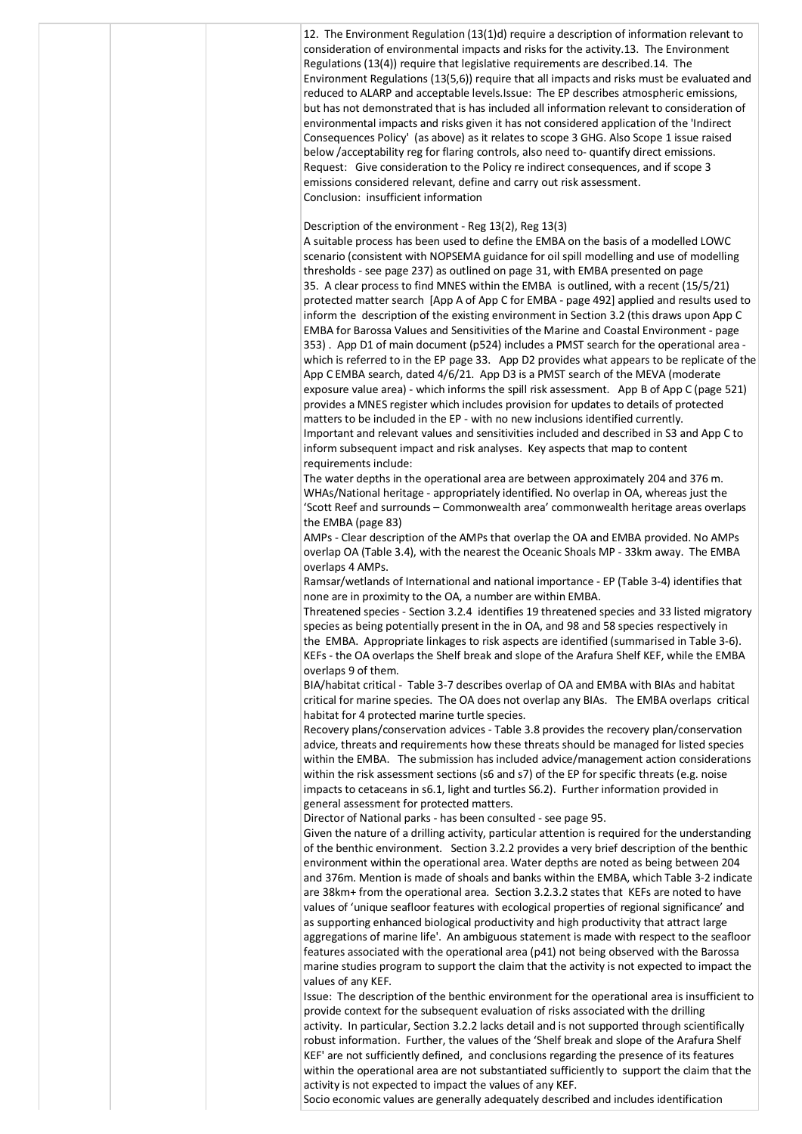| 12. The Environment Regulation $(13(1)d)$ require a description of information relevant to<br>consideration of environmental impacts and risks for the activity.13. The Environment<br>Regulations (13(4)) require that legislative requirements are described.14. The<br>Environment Regulations (13(5,6)) require that all impacts and risks must be evaluated and<br>reduced to ALARP and acceptable levels. Issue: The EP describes atmospheric emissions,<br>but has not demonstrated that is has included all information relevant to consideration of<br>environmental impacts and risks given it has not considered application of the 'Indirect<br>Consequences Policy' (as above) as it relates to scope 3 GHG. Also Scope 1 issue raised<br>below /acceptability reg for flaring controls, also need to- quantify direct emissions.<br>Request: Give consideration to the Policy re indirect consequences, and if scope 3<br>emissions considered relevant, define and carry out risk assessment.<br>Conclusion: insufficient information                                                                                                                                                                                                                                                                                                  |
|-------------------------------------------------------------------------------------------------------------------------------------------------------------------------------------------------------------------------------------------------------------------------------------------------------------------------------------------------------------------------------------------------------------------------------------------------------------------------------------------------------------------------------------------------------------------------------------------------------------------------------------------------------------------------------------------------------------------------------------------------------------------------------------------------------------------------------------------------------------------------------------------------------------------------------------------------------------------------------------------------------------------------------------------------------------------------------------------------------------------------------------------------------------------------------------------------------------------------------------------------------------------------------------------------------------------------------------------------------|
| Description of the environment - Reg 13(2), Reg 13(3)<br>A suitable process has been used to define the EMBA on the basis of a modelled LOWC<br>scenario (consistent with NOPSEMA guidance for oil spill modelling and use of modelling<br>thresholds - see page 237) as outlined on page 31, with EMBA presented on page<br>35. A clear process to find MNES within the EMBA is outlined, with a recent (15/5/21)<br>protected matter search [App A of App C for EMBA - page 492] applied and results used to<br>inform the description of the existing environment in Section 3.2 (this draws upon App C<br>EMBA for Barossa Values and Sensitivities of the Marine and Coastal Environment - page<br>353). App D1 of main document (p524) includes a PMST search for the operational area -<br>which is referred to in the EP page 33. App D2 provides what appears to be replicate of the<br>App C EMBA search, dated 4/6/21. App D3 is a PMST search of the MEVA (moderate<br>exposure value area) - which informs the spill risk assessment. App B of App C (page 521)<br>provides a MNES register which includes provision for updates to details of protected<br>matters to be included in the EP - with no new inclusions identified currently.<br>Important and relevant values and sensitivities included and described in S3 and App C to |
| inform subsequent impact and risk analyses. Key aspects that map to content<br>requirements include:<br>The water depths in the operational area are between approximately 204 and 376 m.<br>WHAs/National heritage - appropriately identified. No overlap in OA, whereas just the<br>'Scott Reef and surrounds - Commonwealth area' commonwealth heritage areas overlaps<br>the EMBA (page 83)<br>AMPs - Clear description of the AMPs that overlap the OA and EMBA provided. No AMPs<br>overlap OA (Table 3.4), with the nearest the Oceanic Shoals MP - 33km away. The EMBA                                                                                                                                                                                                                                                                                                                                                                                                                                                                                                                                                                                                                                                                                                                                                                        |
| overlaps 4 AMPs.<br>Ramsar/wetlands of International and national importance - EP (Table 3-4) identifies that<br>none are in proximity to the OA, a number are within EMBA.<br>Threatened species - Section 3.2.4 identifies 19 threatened species and 33 listed migratory<br>species as being potentially present in the in OA, and 98 and 58 species respectively in<br>the EMBA. Appropriate linkages to risk aspects are identified (summarised in Table 3-6).<br>KEFs - the OA overlaps the Shelf break and slope of the Arafura Shelf KEF, while the EMBA<br>overlaps 9 of them.                                                                                                                                                                                                                                                                                                                                                                                                                                                                                                                                                                                                                                                                                                                                                                |
| BIA/habitat critical - Table 3-7 describes overlap of OA and EMBA with BIAs and habitat<br>critical for marine species. The OA does not overlap any BIAs. The EMBA overlaps critical<br>habitat for 4 protected marine turtle species.<br>Recovery plans/conservation advices - Table 3.8 provides the recovery plan/conservation<br>advice, threats and requirements how these threats should be managed for listed species<br>within the EMBA. The submission has included advice/management action considerations<br>within the risk assessment sections (s6 and s7) of the EP for specific threats (e.g. noise<br>impacts to cetaceans in s6.1, light and turtles S6.2). Further information provided in<br>general assessment for protected matters.                                                                                                                                                                                                                                                                                                                                                                                                                                                                                                                                                                                             |
| Director of National parks - has been consulted - see page 95.<br>Given the nature of a drilling activity, particular attention is required for the understanding<br>of the benthic environment. Section 3.2.2 provides a very brief description of the benthic<br>environment within the operational area. Water depths are noted as being between 204<br>and 376m. Mention is made of shoals and banks within the EMBA, which Table 3-2 indicate<br>are 38km+ from the operational area. Section 3.2.3.2 states that KEFs are noted to have<br>values of 'unique seafloor features with ecological properties of regional significance' and<br>as supporting enhanced biological productivity and high productivity that attract large                                                                                                                                                                                                                                                                                                                                                                                                                                                                                                                                                                                                              |
| aggregations of marine life'. An ambiguous statement is made with respect to the seafloor<br>features associated with the operational area (p41) not being observed with the Barossa<br>marine studies program to support the claim that the activity is not expected to impact the<br>values of any KEF.<br>Issue: The description of the benthic environment for the operational area is insufficient to<br>provide context for the subsequent evaluation of risks associated with the drilling<br>activity. In particular, Section 3.2.2 lacks detail and is not supported through scientifically<br>robust information. Further, the values of the 'Shelf break and slope of the Arafura Shelf<br>KEF' are not sufficiently defined, and conclusions regarding the presence of its features<br>within the operational area are not substantiated sufficiently to support the claim that the<br>activity is not expected to impact the values of any KEF.<br>Socio economic values are generally adequately described and includes identification                                                                                                                                                                                                                                                                                                  |
|                                                                                                                                                                                                                                                                                                                                                                                                                                                                                                                                                                                                                                                                                                                                                                                                                                                                                                                                                                                                                                                                                                                                                                                                                                                                                                                                                       |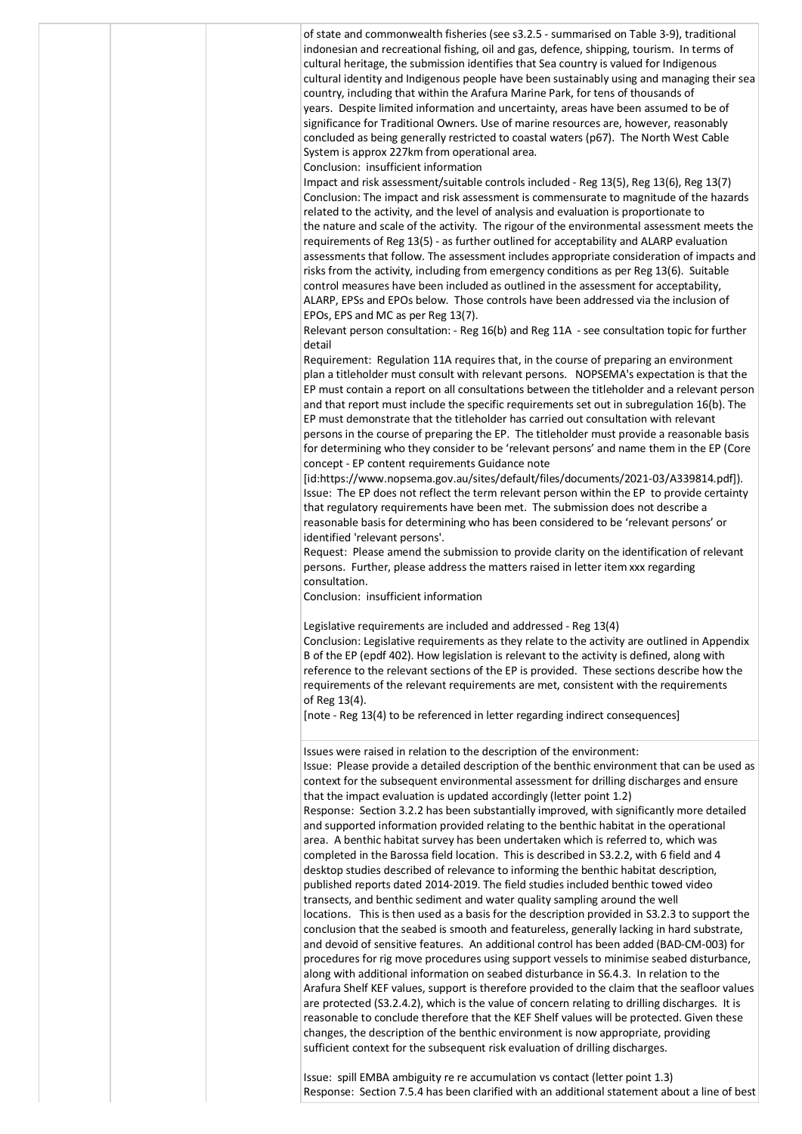|  | of state and commonwealth fisheries (see s3.2.5 - summarised on Table 3-9), traditional<br>indonesian and recreational fishing, oil and gas, defence, shipping, tourism. In terms of<br>cultural heritage, the submission identifies that Sea country is valued for Indigenous<br>cultural identity and Indigenous people have been sustainably using and managing their sea<br>country, including that within the Arafura Marine Park, for tens of thousands of<br>years. Despite limited information and uncertainty, areas have been assumed to be of<br>significance for Traditional Owners. Use of marine resources are, however, reasonably<br>concluded as being generally restricted to coastal waters (p67). The North West Cable<br>System is approx 227km from operational area.<br>Conclusion: insufficient information                                                                                                                                                                                                                                                                                                                                                                                                                                                                                                                                                                                                                                                                                                                                                                                                                                                                                                                                                                                                                                                                                            |
|--|--------------------------------------------------------------------------------------------------------------------------------------------------------------------------------------------------------------------------------------------------------------------------------------------------------------------------------------------------------------------------------------------------------------------------------------------------------------------------------------------------------------------------------------------------------------------------------------------------------------------------------------------------------------------------------------------------------------------------------------------------------------------------------------------------------------------------------------------------------------------------------------------------------------------------------------------------------------------------------------------------------------------------------------------------------------------------------------------------------------------------------------------------------------------------------------------------------------------------------------------------------------------------------------------------------------------------------------------------------------------------------------------------------------------------------------------------------------------------------------------------------------------------------------------------------------------------------------------------------------------------------------------------------------------------------------------------------------------------------------------------------------------------------------------------------------------------------------------------------------------------------------------------------------------------------|
|  | Impact and risk assessment/suitable controls included - Reg 13(5), Reg 13(6), Reg 13(7)<br>Conclusion: The impact and risk assessment is commensurate to magnitude of the hazards<br>related to the activity, and the level of analysis and evaluation is proportionate to<br>the nature and scale of the activity. The rigour of the environmental assessment meets the<br>requirements of Reg 13(5) - as further outlined for acceptability and ALARP evaluation<br>assessments that follow. The assessment includes appropriate consideration of impacts and<br>risks from the activity, including from emergency conditions as per Reg 13(6). Suitable<br>control measures have been included as outlined in the assessment for acceptability,<br>ALARP, EPSs and EPOs below. Those controls have been addressed via the inclusion of<br>EPOs, EPS and MC as per Reg 13(7).<br>Relevant person consultation: - Reg 16(b) and Reg 11A - see consultation topic for further                                                                                                                                                                                                                                                                                                                                                                                                                                                                                                                                                                                                                                                                                                                                                                                                                                                                                                                                                  |
|  | detail<br>Requirement: Regulation 11A requires that, in the course of preparing an environment<br>plan a titleholder must consult with relevant persons. NOPSEMA's expectation is that the<br>EP must contain a report on all consultations between the titleholder and a relevant person<br>and that report must include the specific requirements set out in subregulation 16(b). The<br>EP must demonstrate that the titleholder has carried out consultation with relevant<br>persons in the course of preparing the EP. The titleholder must provide a reasonable basis<br>for determining who they consider to be 'relevant persons' and name them in the EP (Core<br>concept - EP content requirements Guidance note<br>[id:https://www.nopsema.gov.au/sites/default/files/documents/2021-03/A339814.pdf]).<br>Issue: The EP does not reflect the term relevant person within the EP to provide certainty<br>that regulatory requirements have been met. The submission does not describe a<br>reasonable basis for determining who has been considered to be 'relevant persons' or<br>identified 'relevant persons'.<br>Request: Please amend the submission to provide clarity on the identification of relevant<br>persons. Further, please address the matters raised in letter item xxx regarding<br>consultation.<br>Conclusion: insufficient information                                                                                                                                                                                                                                                                                                                                                                                                                                                                                                                                                         |
|  | Legislative requirements are included and addressed - Reg 13(4)<br>Conclusion: Legislative requirements as they relate to the activity are outlined in Appendix<br>B of the EP (epdf 402). How legislation is relevant to the activity is defined, along with<br>reference to the relevant sections of the EP is provided. These sections describe how the<br>requirements of the relevant requirements are met, consistent with the requirements<br>of Reg 13(4).<br>[note - Reg 13(4) to be referenced in letter regarding indirect consequences]                                                                                                                                                                                                                                                                                                                                                                                                                                                                                                                                                                                                                                                                                                                                                                                                                                                                                                                                                                                                                                                                                                                                                                                                                                                                                                                                                                            |
|  | Issues were raised in relation to the description of the environment:<br>Issue: Please provide a detailed description of the benthic environment that can be used as<br>context for the subsequent environmental assessment for drilling discharges and ensure<br>that the impact evaluation is updated accordingly (letter point 1.2)<br>Response: Section 3.2.2 has been substantially improved, with significantly more detailed<br>and supported information provided relating to the benthic habitat in the operational<br>area. A benthic habitat survey has been undertaken which is referred to, which was<br>completed in the Barossa field location. This is described in S3.2.2, with 6 field and 4<br>desktop studies described of relevance to informing the benthic habitat description,<br>published reports dated 2014-2019. The field studies included benthic towed video<br>transects, and benthic sediment and water quality sampling around the well<br>locations. This is then used as a basis for the description provided in S3.2.3 to support the<br>conclusion that the seabed is smooth and featureless, generally lacking in hard substrate,<br>and devoid of sensitive features. An additional control has been added (BAD-CM-003) for<br>procedures for rig move procedures using support vessels to minimise seabed disturbance,<br>along with additional information on seabed disturbance in S6.4.3. In relation to the<br>Arafura Shelf KEF values, support is therefore provided to the claim that the seafloor values<br>are protected (S3.2.4.2), which is the value of concern relating to drilling discharges. It is<br>reasonable to conclude therefore that the KEF Shelf values will be protected. Given these<br>changes, the description of the benthic environment is now appropriate, providing<br>sufficient context for the subsequent risk evaluation of drilling discharges. |
|  |                                                                                                                                                                                                                                                                                                                                                                                                                                                                                                                                                                                                                                                                                                                                                                                                                                                                                                                                                                                                                                                                                                                                                                                                                                                                                                                                                                                                                                                                                                                                                                                                                                                                                                                                                                                                                                                                                                                                |

Issue: spill EMBA ambiguity re re accumulation vs contact (letter point 1.3) Response: Section 7.5.4 has been clarified with an additional statement about a line of best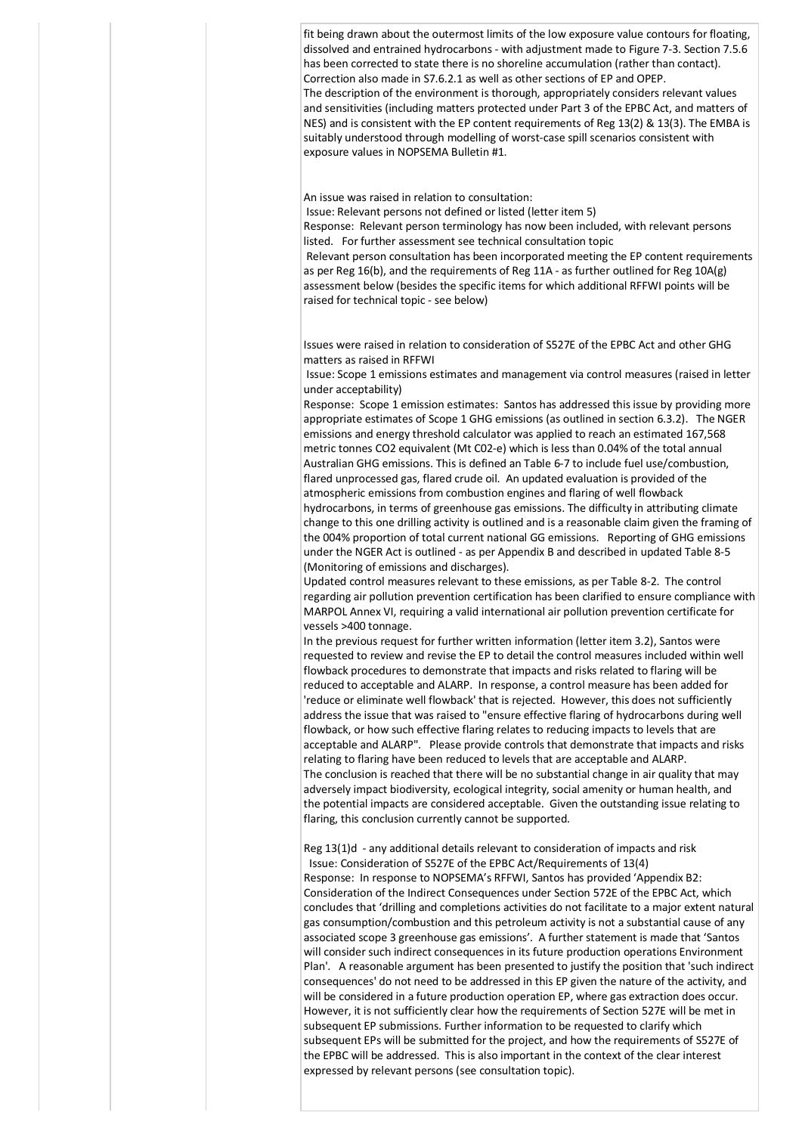fit being drawn about the outermost limits of the low exposure value contours for floating, dissolved and entrained hydrocarbons - with adjustment made to Figure 7-3. Section 7.5.6 has been corrected to state there is no shoreline accumulation (rather than contact). Correction also made in S7.6.2.1 as well as other sections of EP and OPEP. The description of the environment is thorough, appropriately considers relevant values and sensitivities (including matters protected under Part 3 of the EPBC Act, and matters of NES) and is consistent with the EP content requirements of Reg 13(2) & 13(3). The EMBA is suitably understood through modelling of worst-case spill scenarios consistent with exposure values in NOPSEMA Bulletin #1.

An issue was raised in relation to consultation:

Issue: Relevant persons not defined or listed (letter item 5)

Response: Relevant person terminology has now been included, with relevant persons listed. For further assessment see technical consultation topic

Relevant person consultation has been incorporated meeting the EP content requirements as per Reg 16(b), and the requirements of Reg 11A - as further outlined for Reg 10A(g) assessment below (besides the specific items for which additional RFFWI points will be raised for technical topic - see below)

Issues were raised in relation to consideration of S527E of the EPBC Act and other GHG matters as raised in RFFWI

Issue: Scope 1 emissions estimates and management via control measures (raised in letter under acceptability)

Response: Scope 1 emission estimates: Santos has addressed this issue by providing more appropriate estimates of Scope 1 GHG emissions (as outlined in section 6.3.2). The NGER emissions and energy threshold calculator was applied to reach an estimated 167,568 metric tonnes CO2 equivalent (Mt C02-e) which is less than 0.04% of the total annual Australian GHG emissions. This is defined an Table 6-7 to include fuel use/combustion, flared unprocessed gas, flared crude oil. An updated evaluation is provided of the atmospheric emissions from combustion engines and flaring of well flowback hydrocarbons, in terms of greenhouse gas emissions. The difficulty in attributing climate change to this one drilling activity is outlined and is a reasonable claim given the framing of the 004% proportion of total current national GG emissions. Reporting of GHG emissions under the NGER Act is outlined - as per Appendix B and described in updated Table 8-5 (Monitoring of emissions and discharges).

Updated control measures relevant to these emissions, as per Table 8-2. The control regarding air pollution prevention certification has been clarified to ensure compliance with MARPOL Annex VI, requiring a valid international air pollution prevention certificate for vessels >400 tonnage.

In the previous request for further written information (letter item 3.2), Santos were requested to review and revise the EP to detail the control measures included within well flowback procedures to demonstrate that impacts and risks related to flaring will be reduced to acceptable and ALARP. In response, a control measure has been added for 'reduce or eliminate well flowback' that is rejected. However, this does not sufficiently address the issue that was raised to "ensure effective flaring of hydrocarbons during well flowback, or how such effective flaring relates to reducing impacts to levels that are acceptable and ALARP". Please provide controls that demonstrate that impacts and risks relating to flaring have been reduced to levels that are acceptable and ALARP. The conclusion is reached that there will be no substantial change in air quality that may adversely impact biodiversity, ecological integrity, social amenity or human health, and the potential impacts are considered acceptable. Given the outstanding issue relating to flaring, this conclusion currently cannot be supported.

Reg 13(1)d - any additional details relevant to consideration of impacts and risk

 Issue: Consideration of S527E of the EPBC Act/Requirements of 13(4) Response: In response to NOPSEMA's RFFWI, Santos has provided 'Appendix B2: Consideration of the Indirect Consequences under Section 572E of the EPBC Act, which concludes that 'drilling and completions activities do not facilitate to a major extent natural gas consumption/combustion and this petroleum activity is not a substantial cause of any associated scope 3 greenhouse gas emissions'. A further statement is made that 'Santos will consider such indirect consequences in its future production operations Environment Plan'. A reasonable argument has been presented to justify the position that 'such indirect consequences' do not need to be addressed in this EP given the nature of the activity, and will be considered in a future production operation EP, where gas extraction does occur. However, it is not sufficiently clear how the requirements of Section 527E will be met in subsequent EP submissions. Further information to be requested to clarify which subsequent EPs will be submitted for the project, and how the requirements of S527E of the EPBC will be addressed. This is also important in the context of the clear interest expressed by relevant persons (see consultation topic).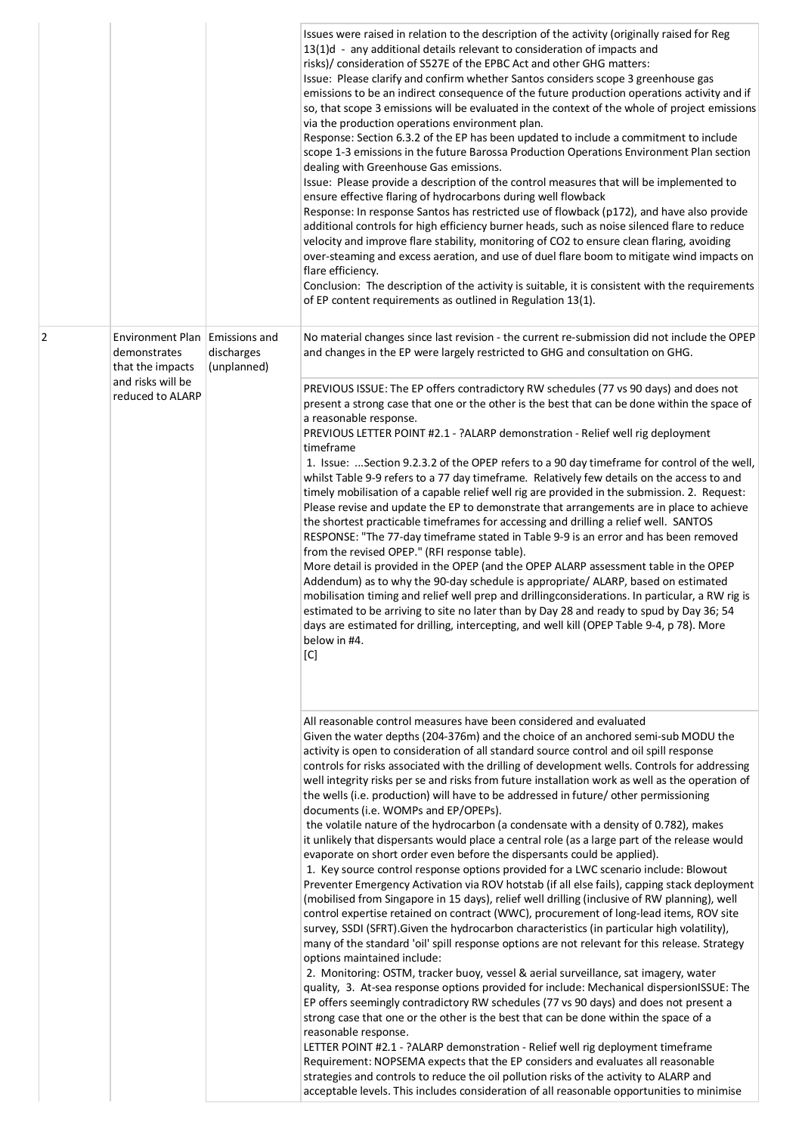|   |                                                                      |                           | Issues were raised in relation to the description of the activity (originally raised for Reg<br>13(1)d - any additional details relevant to consideration of impacts and<br>risks)/ consideration of S527E of the EPBC Act and other GHG matters:<br>Issue: Please clarify and confirm whether Santos considers scope 3 greenhouse gas<br>emissions to be an indirect consequence of the future production operations activity and if<br>so, that scope 3 emissions will be evaluated in the context of the whole of project emissions<br>via the production operations environment plan.<br>Response: Section 6.3.2 of the EP has been updated to include a commitment to include<br>scope 1-3 emissions in the future Barossa Production Operations Environment Plan section<br>dealing with Greenhouse Gas emissions.<br>Issue: Please provide a description of the control measures that will be implemented to<br>ensure effective flaring of hydrocarbons during well flowback<br>Response: In response Santos has restricted use of flowback (p172), and have also provide<br>additional controls for high efficiency burner heads, such as noise silenced flare to reduce<br>velocity and improve flare stability, monitoring of CO2 to ensure clean flaring, avoiding<br>over-steaming and excess aeration, and use of duel flare boom to mitigate wind impacts on<br>flare efficiency.<br>Conclusion: The description of the activity is suitable, it is consistent with the requirements<br>of EP content requirements as outlined in Regulation 13(1).                                                                                                                                                                                                                                                                                                                                                                                                                                                                                                                                                                                                                                                                    |
|---|----------------------------------------------------------------------|---------------------------|---------------------------------------------------------------------------------------------------------------------------------------------------------------------------------------------------------------------------------------------------------------------------------------------------------------------------------------------------------------------------------------------------------------------------------------------------------------------------------------------------------------------------------------------------------------------------------------------------------------------------------------------------------------------------------------------------------------------------------------------------------------------------------------------------------------------------------------------------------------------------------------------------------------------------------------------------------------------------------------------------------------------------------------------------------------------------------------------------------------------------------------------------------------------------------------------------------------------------------------------------------------------------------------------------------------------------------------------------------------------------------------------------------------------------------------------------------------------------------------------------------------------------------------------------------------------------------------------------------------------------------------------------------------------------------------------------------------------------------------------------------------------------------------------------------------------------------------------------------------------------------------------------------------------------------------------------------------------------------------------------------------------------------------------------------------------------------------------------------------------------------------------------------------------------------------------------------------------------------------|
| 2 | Environment Plan   Emissions and<br>demonstrates<br>that the impacts | discharges<br>(unplanned) | No material changes since last revision - the current re-submission did not include the OPEP<br>and changes in the EP were largely restricted to GHG and consultation on GHG.                                                                                                                                                                                                                                                                                                                                                                                                                                                                                                                                                                                                                                                                                                                                                                                                                                                                                                                                                                                                                                                                                                                                                                                                                                                                                                                                                                                                                                                                                                                                                                                                                                                                                                                                                                                                                                                                                                                                                                                                                                                         |
|   | and risks will be<br>reduced to ALARP                                |                           | PREVIOUS ISSUE: The EP offers contradictory RW schedules (77 vs 90 days) and does not<br>present a strong case that one or the other is the best that can be done within the space of<br>a reasonable response.<br>PREVIOUS LETTER POINT #2.1 - ?ALARP demonstration - Relief well rig deployment<br>timeframe<br>1. Issue:  Section 9.2.3.2 of the OPEP refers to a 90 day timeframe for control of the well,<br>whilst Table 9-9 refers to a 77 day timeframe. Relatively few details on the access to and<br>timely mobilisation of a capable relief well rig are provided in the submission. 2. Request:<br>Please revise and update the EP to demonstrate that arrangements are in place to achieve<br>the shortest practicable timeframes for accessing and drilling a relief well. SANTOS<br>RESPONSE: "The 77-day timeframe stated in Table 9-9 is an error and has been removed<br>from the revised OPEP." (RFI response table).<br>More detail is provided in the OPEP (and the OPEP ALARP assessment table in the OPEP<br>Addendum) as to why the 90-day schedule is appropriate/ ALARP, based on estimated<br>mobilisation timing and relief well prep and drillingconsiderations. In particular, a RW rig is<br>estimated to be arriving to site no later than by Day 28 and ready to spud by Day 36; 54<br>days are estimated for drilling, intercepting, and well kill (OPEP Table 9-4, p 78). More<br>below in #4.<br>[C]                                                                                                                                                                                                                                                                                                                                                                                                                                                                                                                                                                                                                                                                                                                                                                                             |
|   |                                                                      |                           | All reasonable control measures have been considered and evaluated<br>Given the water depths (204-376m) and the choice of an anchored semi-sub MODU the<br>activity is open to consideration of all standard source control and oil spill response<br>controls for risks associated with the drilling of development wells. Controls for addressing<br>well integrity risks per se and risks from future installation work as well as the operation of<br>the wells (i.e. production) will have to be addressed in future/ other permissioning<br>documents (i.e. WOMPs and EP/OPEPs).<br>the volatile nature of the hydrocarbon (a condensate with a density of 0.782), makes<br>it unlikely that dispersants would place a central role (as a large part of the release would<br>evaporate on short order even before the dispersants could be applied).<br>1. Key source control response options provided for a LWC scenario include: Blowout<br>Preventer Emergency Activation via ROV hotstab (if all else fails), capping stack deployment<br>(mobilised from Singapore in 15 days), relief well drilling (inclusive of RW planning), well<br>control expertise retained on contract (WWC), procurement of long-lead items, ROV site<br>survey, SSDI (SFRT). Given the hydrocarbon characteristics (in particular high volatility),<br>many of the standard 'oil' spill response options are not relevant for this release. Strategy<br>options maintained include:<br>2. Monitoring: OSTM, tracker buoy, vessel & aerial surveillance, sat imagery, water<br>quality, 3. At-sea response options provided for include: Mechanical dispersionISSUE: The<br>EP offers seemingly contradictory RW schedules (77 vs 90 days) and does not present a<br>strong case that one or the other is the best that can be done within the space of a<br>reasonable response.<br>LETTER POINT #2.1 - ?ALARP demonstration - Relief well rig deployment timeframe<br>Requirement: NOPSEMA expects that the EP considers and evaluates all reasonable<br>strategies and controls to reduce the oil pollution risks of the activity to ALARP and<br>acceptable levels. This includes consideration of all reasonable opportunities to minimise |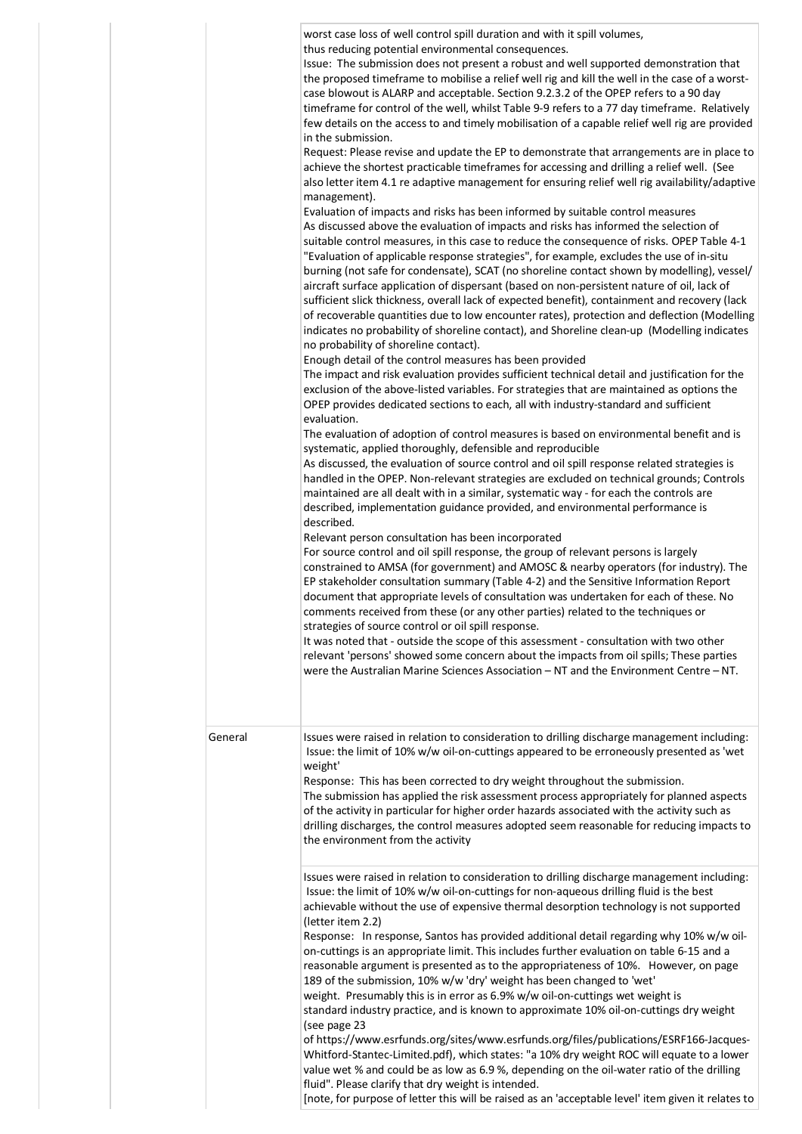|         | worst case loss of well control spill duration and with it spill volumes,<br>thus reducing potential environmental consequences.<br>Issue: The submission does not present a robust and well supported demonstration that<br>the proposed timeframe to mobilise a relief well rig and kill the well in the case of a worst-<br>case blowout is ALARP and acceptable. Section 9.2.3.2 of the OPEP refers to a 90 day<br>timeframe for control of the well, whilst Table 9-9 refers to a 77 day timeframe. Relatively<br>few details on the access to and timely mobilisation of a capable relief well rig are provided<br>in the submission.<br>Request: Please revise and update the EP to demonstrate that arrangements are in place to<br>achieve the shortest practicable timeframes for accessing and drilling a relief well. (See<br>also letter item 4.1 re adaptive management for ensuring relief well rig availability/adaptive<br>management).<br>Evaluation of impacts and risks has been informed by suitable control measures<br>As discussed above the evaluation of impacts and risks has informed the selection of<br>suitable control measures, in this case to reduce the consequence of risks. OPEP Table 4-1<br>"Evaluation of applicable response strategies", for example, excludes the use of in-situ<br>burning (not safe for condensate), SCAT (no shoreline contact shown by modelling), vessel/<br>aircraft surface application of dispersant (based on non-persistent nature of oil, lack of<br>sufficient slick thickness, overall lack of expected benefit), containment and recovery (lack<br>of recoverable quantities due to low encounter rates), protection and deflection (Modelling<br>indicates no probability of shoreline contact), and Shoreline clean-up (Modelling indicates<br>no probability of shoreline contact).<br>Enough detail of the control measures has been provided<br>The impact and risk evaluation provides sufficient technical detail and justification for the<br>exclusion of the above-listed variables. For strategies that are maintained as options the<br>OPEP provides dedicated sections to each, all with industry-standard and sufficient<br>evaluation.<br>The evaluation of adoption of control measures is based on environmental benefit and is<br>systematic, applied thoroughly, defensible and reproducible<br>As discussed, the evaluation of source control and oil spill response related strategies is<br>handled in the OPEP. Non-relevant strategies are excluded on technical grounds; Controls<br>maintained are all dealt with in a similar, systematic way - for each the controls are<br>described, implementation guidance provided, and environmental performance is<br>described.<br>Relevant person consultation has been incorporated<br>For source control and oil spill response, the group of relevant persons is largely<br>constrained to AMSA (for government) and AMOSC & nearby operators (for industry). The<br>EP stakeholder consultation summary (Table 4-2) and the Sensitive Information Report<br>document that appropriate levels of consultation was undertaken for each of these. No<br>comments received from these (or any other parties) related to the techniques or<br>strategies of source control or oil spill response.<br>It was noted that - outside the scope of this assessment - consultation with two other<br>relevant 'persons' showed some concern about the impacts from oil spills; These parties<br>were the Australian Marine Sciences Association - NT and the Environment Centre - NT. |
|---------|--------------------------------------------------------------------------------------------------------------------------------------------------------------------------------------------------------------------------------------------------------------------------------------------------------------------------------------------------------------------------------------------------------------------------------------------------------------------------------------------------------------------------------------------------------------------------------------------------------------------------------------------------------------------------------------------------------------------------------------------------------------------------------------------------------------------------------------------------------------------------------------------------------------------------------------------------------------------------------------------------------------------------------------------------------------------------------------------------------------------------------------------------------------------------------------------------------------------------------------------------------------------------------------------------------------------------------------------------------------------------------------------------------------------------------------------------------------------------------------------------------------------------------------------------------------------------------------------------------------------------------------------------------------------------------------------------------------------------------------------------------------------------------------------------------------------------------------------------------------------------------------------------------------------------------------------------------------------------------------------------------------------------------------------------------------------------------------------------------------------------------------------------------------------------------------------------------------------------------------------------------------------------------------------------------------------------------------------------------------------------------------------------------------------------------------------------------------------------------------------------------------------------------------------------------------------------------------------------------------------------------------------------------------------------------------------------------------------------------------------------------------------------------------------------------------------------------------------------------------------------------------------------------------------------------------------------------------------------------------------------------------------------------------------------------------------------------------------------------------------------------------------------------------------------------------------------------------------------------------------------------------------------------------------------------------------------------------------------------------------------------------------------------------------------------------------------------------------------------------------------------------------------------------------------------------------------------------------------------------------------------|
| General | Issues were raised in relation to consideration to drilling discharge management including:<br>Issue: the limit of 10% w/w oil-on-cuttings appeared to be erroneously presented as 'wet<br>weight'<br>Response: This has been corrected to dry weight throughout the submission.<br>The submission has applied the risk assessment process appropriately for planned aspects<br>of the activity in particular for higher order hazards associated with the activity such as<br>drilling discharges, the control measures adopted seem reasonable for reducing impacts to<br>the environment from the activity                                                                                                                                                                                                                                                                                                                                                                                                                                                                                                                                                                                                                                                                                                                                                                                                                                                                                                                                                                                                                                                                                                                                                                                                                                                                                                                                                                                                                                                                                                                                                                                                                                                                                                                                                                                                                                                                                                                                                                                                                                                                                                                                                                                                                                                                                                                                                                                                                                                                                                                                                                                                                                                                                                                                                                                                                                                                                                                                                                                                                  |
|         | Issues were raised in relation to consideration to drilling discharge management including:<br>Issue: the limit of 10% w/w oil-on-cuttings for non-aqueous drilling fluid is the best<br>achievable without the use of expensive thermal desorption technology is not supported<br>(letter item 2.2)<br>Response: In response, Santos has provided additional detail regarding why 10% w/w oil-<br>on-cuttings is an appropriate limit. This includes further evaluation on table 6-15 and a<br>reasonable argument is presented as to the appropriateness of 10%. However, on page<br>189 of the submission, 10% w/w 'dry' weight has been changed to 'wet'<br>weight. Presumably this is in error as 6.9% w/w oil-on-cuttings wet weight is<br>standard industry practice, and is known to approximate 10% oil-on-cuttings dry weight<br>(see page 23<br>of https://www.esrfunds.org/sites/www.esrfunds.org/files/publications/ESRF166-Jacques-<br>Whitford-Stantec-Limited.pdf), which states: "a 10% dry weight ROC will equate to a lower<br>value wet % and could be as low as 6.9 %, depending on the oil-water ratio of the drilling<br>fluid". Please clarify that dry weight is intended.<br>[note, for purpose of letter this will be raised as an 'acceptable level' item given it relates to                                                                                                                                                                                                                                                                                                                                                                                                                                                                                                                                                                                                                                                                                                                                                                                                                                                                                                                                                                                                                                                                                                                                                                                                                                                                                                                                                                                                                                                                                                                                                                                                                                                                                                                                                                                                                                                                                                                                                                                                                                                                                                                                                                                                                                                                                                                      |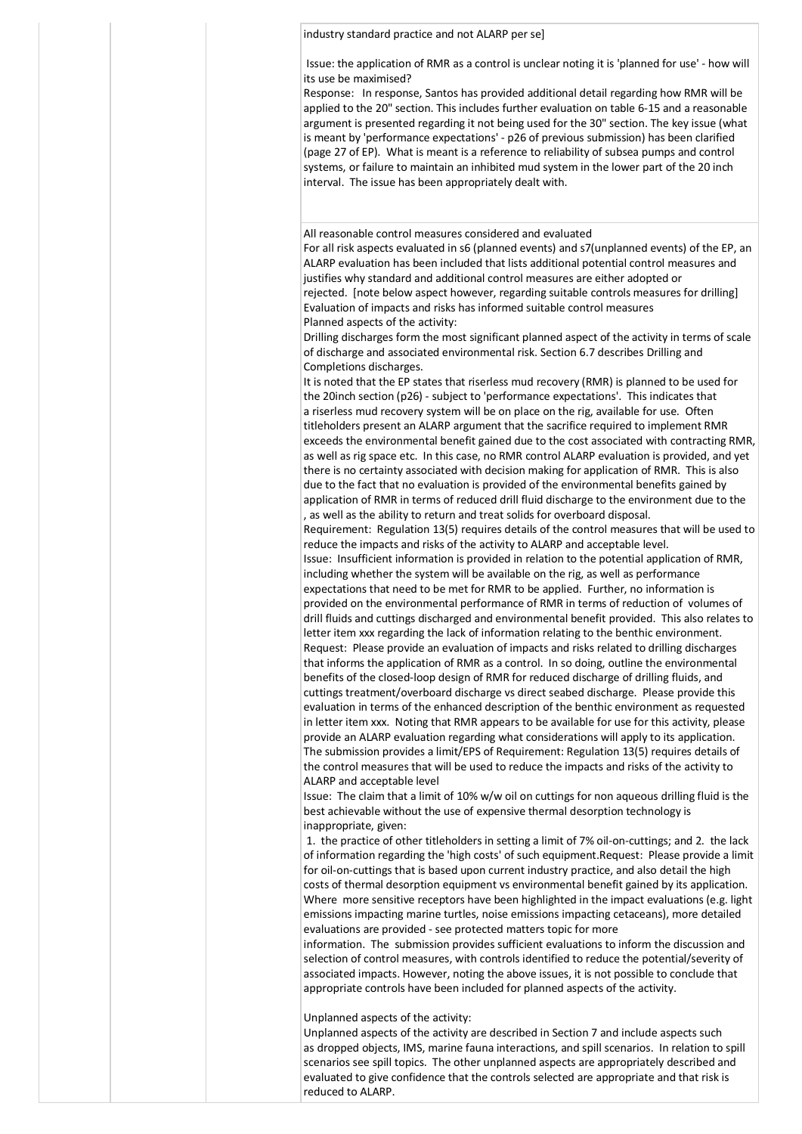## industry standard practice and not ALARP per se]

Issue: the application of RMR as a control is unclear noting it is 'planned for use' - how will its use be maximised?

Response: In response, Santos has provided additional detail regarding how RMR will be applied to the 20" section. This includes further evaluation on table 6-15 and a reasonable argument is presented regarding it not being used for the 30" section. The key issue (what is meant by 'performance expectations' - p26 of previous submission) has been clarified (page 27 of EP). What is meant is a reference to reliability of subsea pumps and control systems, or failure to maintain an inhibited mud system in the lower part of the 20 inch interval. The issue has been appropriately dealt with.

All reasonable control measures considered and evaluated

For all risk aspects evaluated in s6 (planned events) and s7(unplanned events) of the EP, an ALARP evaluation has been included that lists additional potential control measures and justifies why standard and additional control measures are either adopted or rejected. [note below aspect however, regarding suitable controls measures for drilling] Evaluation of impacts and risks has informed suitable control measures Planned aspects of the activity:

Drilling discharges form the most significant planned aspect of the activity in terms of scale of discharge and associated environmental risk. Section 6.7 describes Drilling and Completions discharges.

It is noted that the EP states that riserless mud recovery (RMR) is planned to be used for the 20inch section (p26) - subject to 'performance expectations'. This indicates that a riserless mud recovery system will be on place on the rig, available for use. Often titleholders present an ALARP argument that the sacrifice required to implement RMR exceeds the environmental benefit gained due to the cost associated with contracting RMR, as well as rig space etc. In this case, no RMR control ALARP evaluation is provided, and yet there is no certainty associated with decision making for application of RMR. This is also due to the fact that no evaluation is provided of the environmental benefits gained by application of RMR in terms of reduced drill fluid discharge to the environment due to the , as well as the ability to return and treat solids for overboard disposal.

Requirement: Regulation 13(5) requires details of the control measures that will be used to reduce the impacts and risks of the activity to ALARP and acceptable level. Issue: Insufficient information is provided in relation to the potential application of RMR, including whether the system will be available on the rig, as well as performance expectations that need to be met for RMR to be applied. Further, no information is provided on the environmental performance of RMR in terms of reduction of volumes of

drill fluids and cuttings discharged and environmental benefit provided. This also relates to letter item xxx regarding the lack of information relating to the benthic environment. Request: Please provide an evaluation of impacts and risks related to drilling discharges that informs the application of RMR as a control. In so doing, outline the environmental benefits of the closed-loop design of RMR for reduced discharge of drilling fluids, and cuttings treatment/overboard discharge vs direct seabed discharge. Please provide this evaluation in terms of the enhanced description of the benthic environment as requested in letter item xxx. Noting that RMR appears to be available for use for this activity, please provide an ALARP evaluation regarding what considerations will apply to its application. The submission provides a limit/EPS of Requirement: Regulation 13(5) requires details of the control measures that will be used to reduce the impacts and risks of the activity to ALARP and acceptable level

Issue: The claim that a limit of 10% w/w oil on cuttings for non aqueous drilling fluid is the best achievable without the use of expensive thermal desorption technology is inappropriate, given:

1. the practice of other titleholders in setting a limit of 7% oil-on-cuttings; and 2. the lack of information regarding the 'high costs' of such equipment.Request: Please provide a limit for oil-on-cuttings that is based upon current industry practice, and also detail the high costs of thermal desorption equipment vs environmental benefit gained by its application. Where more sensitive receptors have been highlighted in the impact evaluations (e.g. light emissions impacting marine turtles, noise emissions impacting cetaceans), more detailed evaluations are provided - see protected matters topic for more

information. The submission provides sufficient evaluations to inform the discussion and selection of control measures, with controls identified to reduce the potential/severity of associated impacts. However, noting the above issues, it is not possible to conclude that appropriate controls have been included for planned aspects of the activity.

Unplanned aspects of the activity:

Unplanned aspects of the activity are described in Section 7 and include aspects such as dropped objects, IMS, marine fauna interactions, and spill scenarios. In relation to spill scenarios see spill topics. The other unplanned aspects are appropriately described and evaluated to give confidence that the controls selected are appropriate and that risk is reduced to ALARP.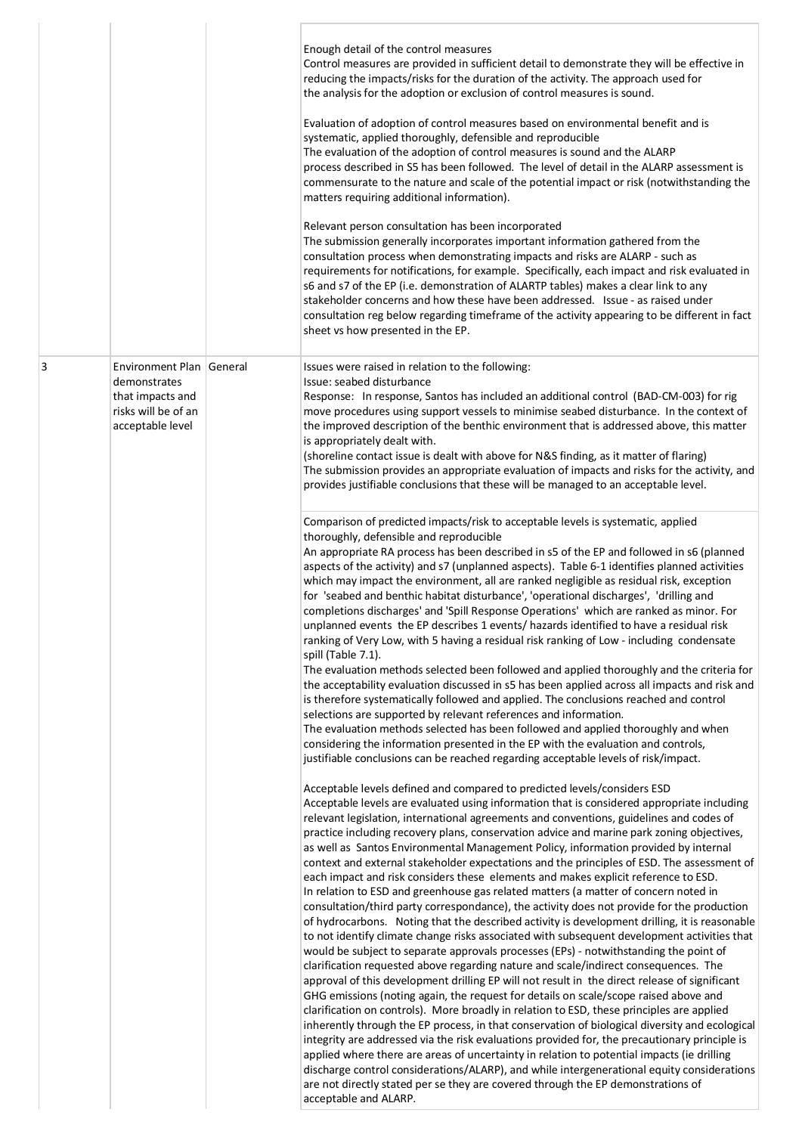|   |                                                                                                         | Enough detail of the control measures<br>Control measures are provided in sufficient detail to demonstrate they will be effective in<br>reducing the impacts/risks for the duration of the activity. The approach used for<br>the analysis for the adoption or exclusion of control measures is sound.<br>Evaluation of adoption of control measures based on environmental benefit and is<br>systematic, applied thoroughly, defensible and reproducible<br>The evaluation of the adoption of control measures is sound and the ALARP<br>process described in S5 has been followed. The level of detail in the ALARP assessment is<br>commensurate to the nature and scale of the potential impact or risk (notwithstanding the<br>matters requiring additional information).<br>Relevant person consultation has been incorporated<br>The submission generally incorporates important information gathered from the<br>consultation process when demonstrating impacts and risks are ALARP - such as<br>requirements for notifications, for example. Specifically, each impact and risk evaluated in<br>s6 and s7 of the EP (i.e. demonstration of ALARTP tables) makes a clear link to any<br>stakeholder concerns and how these have been addressed. Issue - as raised under<br>consultation reg below regarding timeframe of the activity appearing to be different in fact<br>sheet vs how presented in the EP.                                                                                                                                                                                                                                                                                                                                                                                                                                                                                                                                                                                            |
|---|---------------------------------------------------------------------------------------------------------|------------------------------------------------------------------------------------------------------------------------------------------------------------------------------------------------------------------------------------------------------------------------------------------------------------------------------------------------------------------------------------------------------------------------------------------------------------------------------------------------------------------------------------------------------------------------------------------------------------------------------------------------------------------------------------------------------------------------------------------------------------------------------------------------------------------------------------------------------------------------------------------------------------------------------------------------------------------------------------------------------------------------------------------------------------------------------------------------------------------------------------------------------------------------------------------------------------------------------------------------------------------------------------------------------------------------------------------------------------------------------------------------------------------------------------------------------------------------------------------------------------------------------------------------------------------------------------------------------------------------------------------------------------------------------------------------------------------------------------------------------------------------------------------------------------------------------------------------------------------------------------------------------------------------------------------------------------------------------------------------------------------|
| 3 | Environment Plan General<br>demonstrates<br>that impacts and<br>risks will be of an<br>acceptable level | Issues were raised in relation to the following:<br>Issue: seabed disturbance<br>Response: In response, Santos has included an additional control (BAD-CM-003) for rig<br>move procedures using support vessels to minimise seabed disturbance. In the context of<br>the improved description of the benthic environment that is addressed above, this matter<br>is appropriately dealt with.<br>(shoreline contact issue is dealt with above for N&S finding, as it matter of flaring)<br>The submission provides an appropriate evaluation of impacts and risks for the activity, and<br>provides justifiable conclusions that these will be managed to an acceptable level.                                                                                                                                                                                                                                                                                                                                                                                                                                                                                                                                                                                                                                                                                                                                                                                                                                                                                                                                                                                                                                                                                                                                                                                                                                                                                                                                   |
|   |                                                                                                         | Comparison of predicted impacts/risk to acceptable levels is systematic, applied<br>thoroughly, defensible and reproducible<br>An appropriate RA process has been described in s5 of the EP and followed in s6 (planned<br>aspects of the activity) and s7 (unplanned aspects). Table 6-1 identifies planned activities<br>which may impact the environment, all are ranked negligible as residual risk, exception<br>for 'seabed and benthic habitat disturbance', 'operational discharges', 'drilling and<br>completions discharges' and 'Spill Response Operations' which are ranked as minor. For<br>unplanned events the EP describes 1 events/ hazards identified to have a residual risk<br>ranking of Very Low, with 5 having a residual risk ranking of Low - including condensate<br>spill (Table 7.1).<br>The evaluation methods selected been followed and applied thoroughly and the criteria for<br>the acceptability evaluation discussed in s5 has been applied across all impacts and risk and<br>is therefore systematically followed and applied. The conclusions reached and control<br>selections are supported by relevant references and information.<br>The evaluation methods selected has been followed and applied thoroughly and when<br>considering the information presented in the EP with the evaluation and controls,<br>justifiable conclusions can be reached regarding acceptable levels of risk/impact.                                                                                                                                                                                                                                                                                                                                                                                                                                                                                                                                                                     |
|   |                                                                                                         | Acceptable levels defined and compared to predicted levels/considers ESD<br>Acceptable levels are evaluated using information that is considered appropriate including<br>relevant legislation, international agreements and conventions, guidelines and codes of<br>practice including recovery plans, conservation advice and marine park zoning objectives,<br>as well as Santos Environmental Management Policy, information provided by internal<br>context and external stakeholder expectations and the principles of ESD. The assessment of<br>each impact and risk considers these elements and makes explicit reference to ESD.<br>In relation to ESD and greenhouse gas related matters (a matter of concern noted in<br>consultation/third party correspondance), the activity does not provide for the production<br>of hydrocarbons. Noting that the described activity is development drilling, it is reasonable<br>to not identify climate change risks associated with subsequent development activities that<br>would be subject to separate approvals processes (EPs) - notwithstanding the point of<br>clarification requested above regarding nature and scale/indirect consequences. The<br>approval of this development drilling EP will not result in the direct release of significant<br>GHG emissions (noting again, the request for details on scale/scope raised above and<br>clarification on controls). More broadly in relation to ESD, these principles are applied<br>inherently through the EP process, in that conservation of biological diversity and ecological<br>integrity are addressed via the risk evaluations provided for, the precautionary principle is<br>applied where there are areas of uncertainty in relation to potential impacts (ie drilling<br>discharge control considerations/ALARP), and while intergenerational equity considerations<br>are not directly stated per se they are covered through the EP demonstrations of<br>acceptable and ALARP. |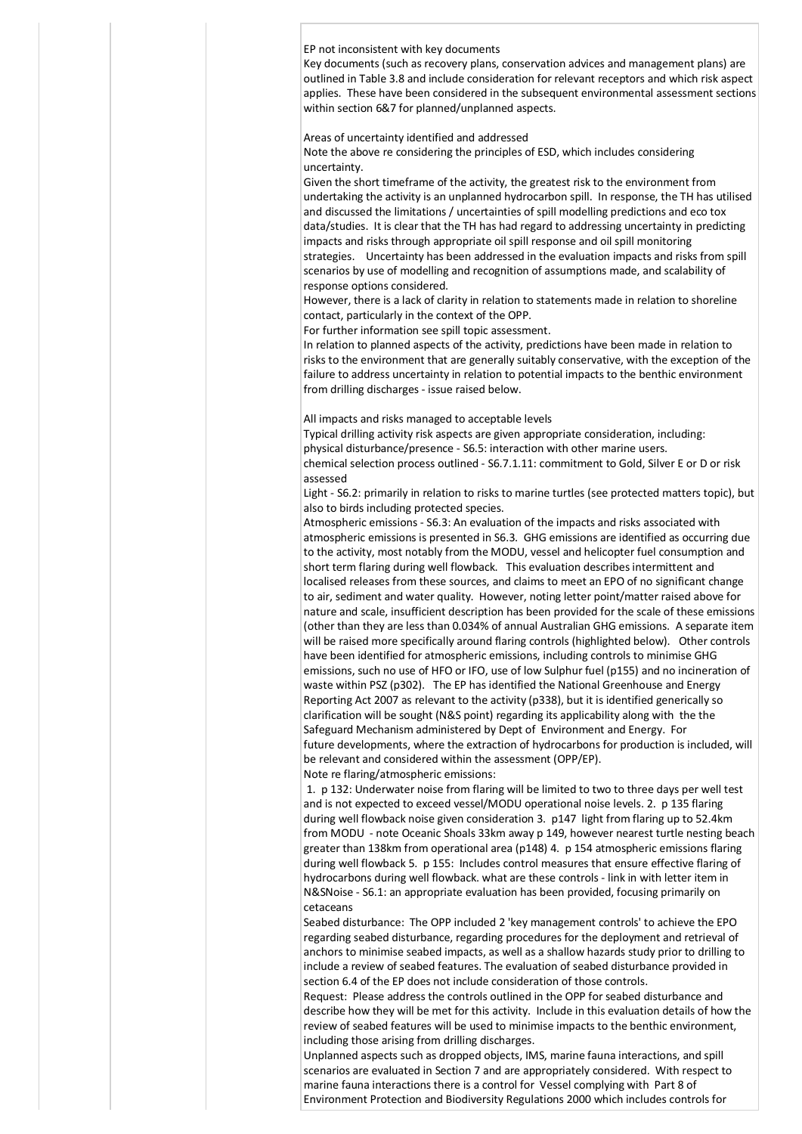EP not inconsistent with key documents

Key documents (such as recovery plans, conservation advices and management plans) are outlined in Table 3.8 and include consideration for relevant receptors and which risk aspect applies. These have been considered in the subsequent environmental assessment sections within section 6&7 for planned/unplanned aspects.

Areas of uncertainty identified and addressed

Note the above re considering the principles of ESD, which includes considering uncertainty.

Given the short timeframe of the activity, the greatest risk to the environment from undertaking the activity is an unplanned hydrocarbon spill. In response, the TH has utilised and discussed the limitations / uncertainties of spill modelling predictions and eco tox data/studies. It is clear that the TH has had regard to addressing uncertainty in predicting impacts and risks through appropriate oil spill response and oil spill monitoring strategies. Uncertainty has been addressed in the evaluation impacts and risks from spill scenarios by use of modelling and recognition of assumptions made, and scalability of response options considered.

However, there is a lack of clarity in relation to statements made in relation to shoreline contact, particularly in the context of the OPP.

For further information see spill topic assessment.

In relation to planned aspects of the activity, predictions have been made in relation to risks to the environment that are generally suitably conservative, with the exception of the failure to address uncertainty in relation to potential impacts to the benthic environment from drilling discharges - issue raised below.

All impacts and risks managed to acceptable levels

Typical drilling activity risk aspects are given appropriate consideration, including: physical disturbance/presence - S6.5: interaction with other marine users. chemical selection process outlined - S6.7.1.11: commitment to Gold, Silver E or D or risk

assessed

Light - S6.2: primarily in relation to risks to marine turtles (see protected matters topic), but also to birds including protected species.

Atmospheric emissions - S6.3: An evaluation of the impacts and risks associated with atmospheric emissions is presented in S6.3. GHG emissions are identified as occurring due to the activity, most notably from the MODU, vessel and helicopter fuel consumption and short term flaring during well flowback. This evaluation describes intermittent and localised releases from these sources, and claims to meet an EPO of no significant change to air, sediment and water quality. However, noting letter point/matter raised above for nature and scale, insufficient description has been provided for the scale of these emissions (other than they are less than 0.034% of annual Australian GHG emissions. A separate item will be raised more specifically around flaring controls (highlighted below). Other controls have been identified for atmospheric emissions, including controls to minimise GHG emissions, such no use of HFO or IFO, use of low Sulphur fuel (p155) and no incineration of waste within PSZ (p302). The EP has identified the National Greenhouse and Energy Reporting Act 2007 as relevant to the activity (p338), but it is identified generically so clarification will be sought (N&S point) regarding its applicability along with the the Safeguard Mechanism administered by Dept of Environment and Energy. For future developments, where the extraction of hydrocarbons for production is included, will be relevant and considered within the assessment (OPP/EP). Note re flaring/atmospheric emissions:

1. p 132: Underwater noise from flaring will be limited to two to three days per well test and is not expected to exceed vessel/MODU operational noise levels. 2. p 135 flaring during well flowback noise given consideration 3. p147 light from flaring up to 52.4km from MODU - note Oceanic Shoals 33km away p 149, however nearest turtle nesting beach greater than 138km from operational area (p148) 4. p 154 atmospheric emissions flaring during well flowback 5. p 155: Includes control measures that ensure effective flaring of hydrocarbons during well flowback. what are these controls - link in with letter item in N&SNoise - S6.1: an appropriate evaluation has been provided, focusing primarily on cetaceans

Seabed disturbance: The OPP included 2 'key management controls' to achieve the EPO regarding seabed disturbance, regarding procedures for the deployment and retrieval of anchors to minimise seabed impacts, as well as a shallow hazards study prior to drilling to include a review of seabed features. The evaluation of seabed disturbance provided in section 6.4 of the EP does not include consideration of those controls.

Request: Please address the controls outlined in the OPP for seabed disturbance and describe how they will be met for this activity. Include in this evaluation details of how the review of seabed features will be used to minimise impacts to the benthic environment, including those arising from drilling discharges.

Unplanned aspects such as dropped objects, IMS, marine fauna interactions, and spill scenarios are evaluated in Section 7 and are appropriately considered. With respect to marine fauna interactions there is a control for Vessel complying with Part 8 of Environment Protection and Biodiversity Regulations 2000 which includes controls for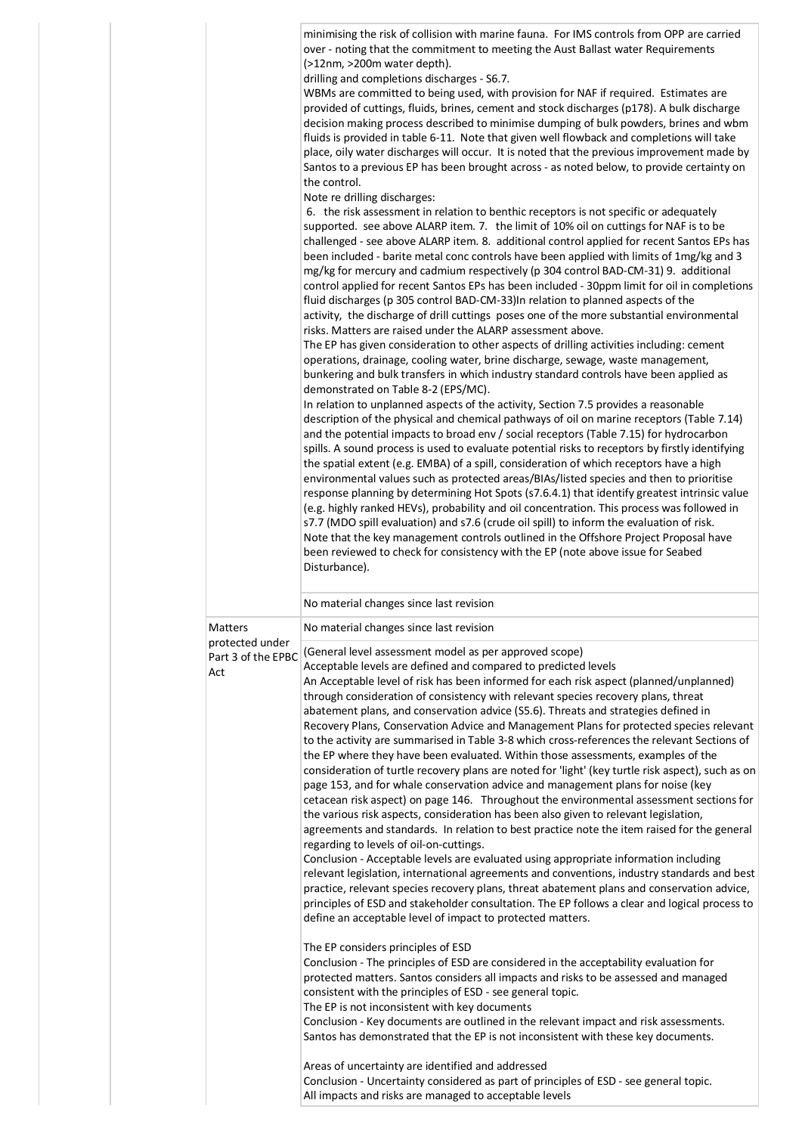|  |                            | minimising the risk of collision with marine fauna. For IMS controls from OPP are carried<br>over - noting that the commitment to meeting the Aust Ballast water Requirements<br>(>12nm, >200m water depth).<br>drilling and completions discharges - S6.7.<br>WBMs are committed to being used, with provision for NAF if required. Estimates are<br>provided of cuttings, fluids, brines, cement and stock discharges (p178). A bulk discharge<br>decision making process described to minimise dumping of bulk powders, brines and wbm<br>fluids is provided in table 6-11. Note that given well flowback and completions will take<br>place, oily water discharges will occur. It is noted that the previous improvement made by<br>Santos to a previous EP has been brought across - as noted below, to provide certainty on<br>the control.<br>Note re drilling discharges:<br>6. the risk assessment in relation to benthic receptors is not specific or adequately<br>supported. see above ALARP item. 7. the limit of 10% oil on cuttings for NAF is to be<br>challenged - see above ALARP item. 8. additional control applied for recent Santos EPs has<br>been included - barite metal conc controls have been applied with limits of 1mg/kg and 3<br>mg/kg for mercury and cadmium respectively (p 304 control BAD-CM-31) 9. additional<br>control applied for recent Santos EPs has been included - 30ppm limit for oil in completions<br>fluid discharges (p 305 control BAD-CM-33)In relation to planned aspects of the<br>activity, the discharge of drill cuttings poses one of the more substantial environmental<br>risks. Matters are raised under the ALARP assessment above.<br>The EP has given consideration to other aspects of drilling activities including: cement<br>operations, drainage, cooling water, brine discharge, sewage, waste management,<br>bunkering and bulk transfers in which industry standard controls have been applied as<br>demonstrated on Table 8-2 (EPS/MC).<br>In relation to unplanned aspects of the activity, Section 7.5 provides a reasonable<br>description of the physical and chemical pathways of oil on marine receptors (Table 7.14)<br>and the potential impacts to broad env / social receptors (Table 7.15) for hydrocarbon<br>spills. A sound process is used to evaluate potential risks to receptors by firstly identifying<br>the spatial extent (e.g. EMBA) of a spill, consideration of which receptors have a high<br>environmental values such as protected areas/BIAs/listed species and then to prioritise<br>response planning by determining Hot Spots (s7.6.4.1) that identify greatest intrinsic value<br>(e.g. highly ranked HEVs), probability and oil concentration. This process was followed in<br>s7.7 (MDO spill evaluation) and s7.6 (crude oil spill) to inform the evaluation of risk.<br>Note that the key management controls outlined in the Offshore Project Proposal have<br>been reviewed to check for consistency with the EP (note above issue for Seabed<br>Disturbance). |
|--|----------------------------|--------------------------------------------------------------------------------------------------------------------------------------------------------------------------------------------------------------------------------------------------------------------------------------------------------------------------------------------------------------------------------------------------------------------------------------------------------------------------------------------------------------------------------------------------------------------------------------------------------------------------------------------------------------------------------------------------------------------------------------------------------------------------------------------------------------------------------------------------------------------------------------------------------------------------------------------------------------------------------------------------------------------------------------------------------------------------------------------------------------------------------------------------------------------------------------------------------------------------------------------------------------------------------------------------------------------------------------------------------------------------------------------------------------------------------------------------------------------------------------------------------------------------------------------------------------------------------------------------------------------------------------------------------------------------------------------------------------------------------------------------------------------------------------------------------------------------------------------------------------------------------------------------------------------------------------------------------------------------------------------------------------------------------------------------------------------------------------------------------------------------------------------------------------------------------------------------------------------------------------------------------------------------------------------------------------------------------------------------------------------------------------------------------------------------------------------------------------------------------------------------------------------------------------------------------------------------------------------------------------------------------------------------------------------------------------------------------------------------------------------------------------------------------------------------------------------------------------------------------------------------------------------------------------------------------------------------------------------------------------------------------------------------------------------------------------------------------|
|  |                            | No material changes since last revision                                                                                                                                                                                                                                                                                                                                                                                                                                                                                                                                                                                                                                                                                                                                                                                                                                                                                                                                                                                                                                                                                                                                                                                                                                                                                                                                                                                                                                                                                                                                                                                                                                                                                                                                                                                                                                                                                                                                                                                                                                                                                                                                                                                                                                                                                                                                                                                                                                                                                                                                                                                                                                                                                                                                                                                                                                                                                                                                                                                                                                        |
|  | Matters<br>protected under | No material changes since last revision                                                                                                                                                                                                                                                                                                                                                                                                                                                                                                                                                                                                                                                                                                                                                                                                                                                                                                                                                                                                                                                                                                                                                                                                                                                                                                                                                                                                                                                                                                                                                                                                                                                                                                                                                                                                                                                                                                                                                                                                                                                                                                                                                                                                                                                                                                                                                                                                                                                                                                                                                                                                                                                                                                                                                                                                                                                                                                                                                                                                                                        |
|  | Part 3 of the EPBC<br>Act  | (General level assessment model as per approved scope)<br>Acceptable levels are defined and compared to predicted levels<br>An Acceptable level of risk has been informed for each risk aspect (planned/unplanned)<br>through consideration of consistency with relevant species recovery plans, threat<br>abatement plans, and conservation advice (S5.6). Threats and strategies defined in<br>Recovery Plans, Conservation Advice and Management Plans for protected species relevant<br>to the activity are summarised in Table 3-8 which cross-references the relevant Sections of<br>the EP where they have been evaluated. Within those assessments, examples of the<br>consideration of turtle recovery plans are noted for 'light' (key turtle risk aspect), such as on                                                                                                                                                                                                                                                                                                                                                                                                                                                                                                                                                                                                                                                                                                                                                                                                                                                                                                                                                                                                                                                                                                                                                                                                                                                                                                                                                                                                                                                                                                                                                                                                                                                                                                                                                                                                                                                                                                                                                                                                                                                                                                                                                                                                                                                                                               |
|  |                            | page 153, and for whale conservation advice and management plans for noise (key<br>cetacean risk aspect) on page 146. Throughout the environmental assessment sections for<br>the various risk aspects, consideration has been also given to relevant legislation,<br>agreements and standards. In relation to best practice note the item raised for the general<br>regarding to levels of oil-on-cuttings.<br>Conclusion - Acceptable levels are evaluated using appropriate information including<br>relevant legislation, international agreements and conventions, industry standards and best<br>practice, relevant species recovery plans, threat abatement plans and conservation advice,<br>principles of ESD and stakeholder consultation. The EP follows a clear and logical process to<br>define an acceptable level of impact to protected matters.<br>The EP considers principles of ESD<br>Conclusion - The principles of ESD are considered in the acceptability evaluation for<br>protected matters. Santos considers all impacts and risks to be assessed and managed<br>consistent with the principles of ESD - see general topic.<br>The EP is not inconsistent with key documents<br>Conclusion - Key documents are outlined in the relevant impact and risk assessments.<br>Santos has demonstrated that the EP is not inconsistent with these key documents.<br>Areas of uncertainty are identified and addressed<br>Conclusion - Uncertainty considered as part of principles of ESD - see general topic.                                                                                                                                                                                                                                                                                                                                                                                                                                                                                                                                                                                                                                                                                                                                                                                                                                                                                                                                                                                                                                                                                                                                                                                                                                                                                                                                                                                                                                                                                                                                              |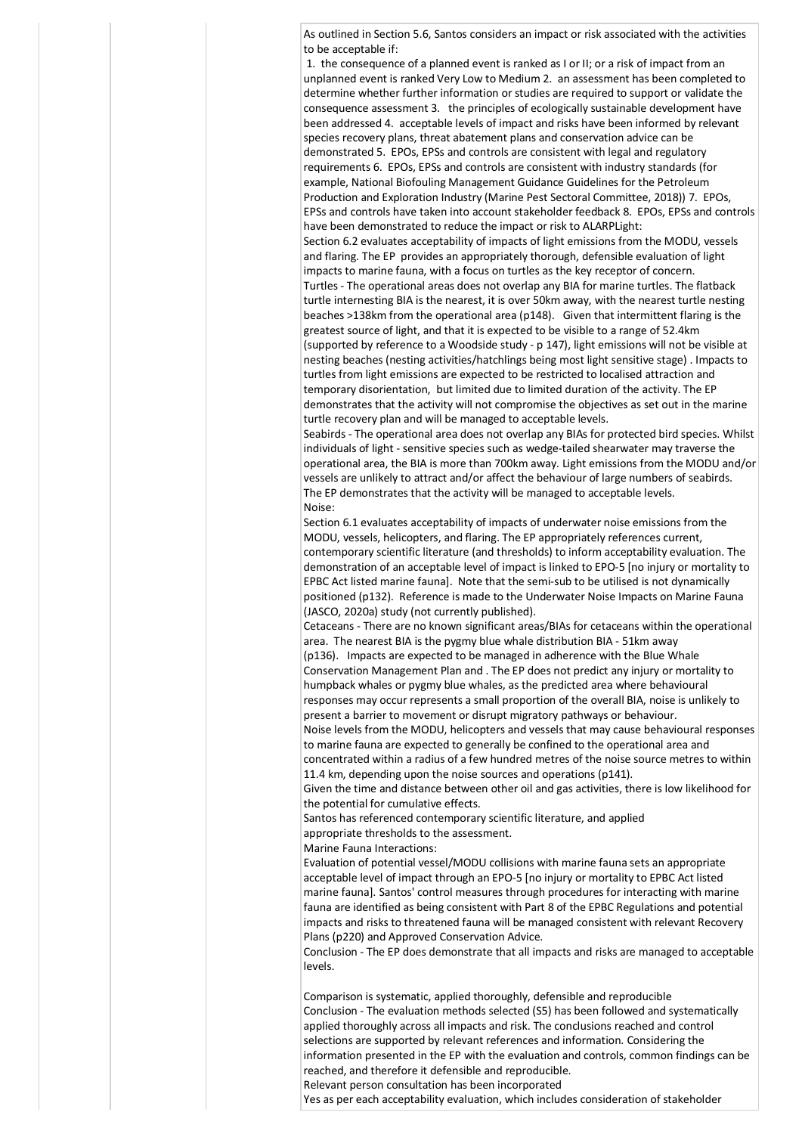As outlined in Section 5.6, Santos considers an impact or risk associated with the activities to be acceptable if:

1. the consequence of a planned event is ranked as I or II; or a risk of impact from an unplanned event is ranked Very Low to Medium 2. an assessment has been completed to determine whether further information or studies are required to support or validate the consequence assessment 3. the principles of ecologically sustainable development have been addressed 4. acceptable levels of impact and risks have been informed by relevant species recovery plans, threat abatement plans and conservation advice can be demonstrated 5. EPOs, EPSs and controls are consistent with legal and regulatory requirements 6. EPOs, EPSs and controls are consistent with industry standards (for example, National Biofouling Management Guidance Guidelines for the Petroleum Production and Exploration Industry (Marine Pest Sectoral Committee, 2018)) 7. EPOs, EPSs and controls have taken into account stakeholder feedback 8. EPOs, EPSs and controls have been demonstrated to reduce the impact or risk to ALARPLight:

Section 6.2 evaluates acceptability of impacts of light emissions from the MODU, vessels and flaring. The EP provides an appropriately thorough, defensible evaluation of light impacts to marine fauna, with a focus on turtles as the key receptor of concern. Turtles - The operational areas does not overlap any BIA for marine turtles. The flatback turtle internesting BIA is the nearest, it is over 50km away, with the nearest turtle nesting beaches >138km from the operational area (p148). Given that intermittent flaring is the greatest source of light, and that it is expected to be visible to a range of 52.4km (supported by reference to a Woodside study - p 147), light emissions will not be visible at nesting beaches (nesting activities/hatchlings being most light sensitive stage) . Impacts to turtles from light emissions are expected to be restricted to localised attraction and temporary disorientation, but limited due to limited duration of the activity. The EP demonstrates that the activity will not compromise the objectives as set out in the marine turtle recovery plan and will be managed to acceptable levels.

Seabirds - The operational area does not overlap any BIAs for protected bird species. Whilst individuals of light - sensitive species such as wedge-tailed shearwater may traverse the operational area, the BIA is more than 700km away. Light emissions from the MODU and/or vessels are unlikely to attract and/or affect the behaviour of large numbers of seabirds. The EP demonstrates that the activity will be managed to acceptable levels. Noise:

Section 6.1 evaluates acceptability of impacts of underwater noise emissions from the MODU, vessels, helicopters, and flaring. The EP appropriately references current, contemporary scientific literature (and thresholds) to inform acceptability evaluation. The demonstration of an acceptable level of impact is linked to EPO-5 [no injury or mortality to EPBC Act listed marine fauna]. Note that the semi-sub to be utilised is not dynamically positioned (p132). Reference is made to the Underwater Noise Impacts on Marine Fauna (JASCO, 2020a) study (not currently published).

Cetaceans - There are no known significant areas/BIAs for cetaceans within the operational area. The nearest BIA is the pygmy blue whale distribution BIA - 51km away (p136). Impacts are expected to be managed in adherence with the Blue Whale

Conservation Management Plan and . The EP does not predict any injury or mortality to humpback whales or pygmy blue whales, as the predicted area where behavioural responses may occur represents a small proportion of the overall BIA, noise is unlikely to present a barrier to movement or disrupt migratory pathways or behaviour.

Noise levels from the MODU, helicopters and vessels that may cause behavioural responses to marine fauna are expected to generally be confined to the operational area and concentrated within a radius of a few hundred metres of the noise source metres to within

11.4 km, depending upon the noise sources and operations (p141).

Given the time and distance between other oil and gas activities, there is low likelihood for the potential for cumulative effects.

Santos has referenced contemporary scientific literature, and applied

appropriate thresholds to the assessment.

Marine Fauna Interactions:

Evaluation of potential vessel/MODU collisions with marine fauna sets an appropriate acceptable level of impact through an EPO-5 [no injury or mortality to EPBC Act listed marine fauna]. Santos' control measures through procedures for interacting with marine fauna are identified as being consistent with Part 8 of the EPBC Regulations and potential impacts and risks to threatened fauna will be managed consistent with relevant Recovery Plans (p220) and Approved Conservation Advice.

Conclusion - The EP does demonstrate that all impacts and risks are managed to acceptable levels.

Comparison is systematic, applied thoroughly, defensible and reproducible Conclusion - The evaluation methods selected (S5) has been followed and systematically applied thoroughly across all impacts and risk. The conclusions reached and control selections are supported by relevant references and information. Considering the information presented in the EP with the evaluation and controls, common findings can be reached, and therefore it defensible and reproducible. Relevant person consultation has been incorporated

Yes as per each acceptability evaluation, which includes consideration of stakeholder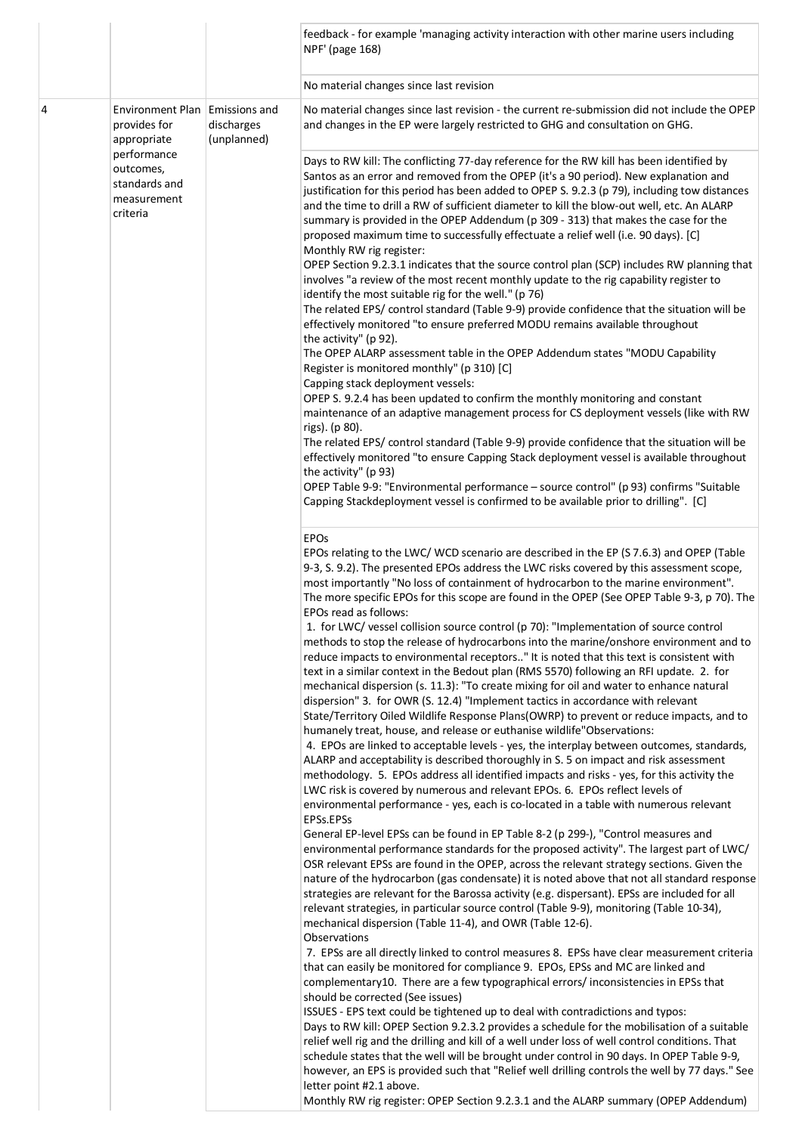|   |                                                                                                                                       |                           | feedback - for example 'managing activity interaction with other marine users including<br>NPF' (page 168)                                                                                                                                                                                                                                                                                                                                                                                                                                                                                                                                                                                                                                                                                                                                                                                                                                                                                                                                                                                                                                                                                                                                                                                                                                                                                                                                                                                                                                                                                                                                                                                                                                                                                                                                                                                                                                                                                                                                                                                                                                                                                                                                                                                                                                                                                                                                                                                                                                                                                                                                                                                                                                                                                                                                                                                                                                                                                                                                                                                                                                                                                            |
|---|---------------------------------------------------------------------------------------------------------------------------------------|---------------------------|-------------------------------------------------------------------------------------------------------------------------------------------------------------------------------------------------------------------------------------------------------------------------------------------------------------------------------------------------------------------------------------------------------------------------------------------------------------------------------------------------------------------------------------------------------------------------------------------------------------------------------------------------------------------------------------------------------------------------------------------------------------------------------------------------------------------------------------------------------------------------------------------------------------------------------------------------------------------------------------------------------------------------------------------------------------------------------------------------------------------------------------------------------------------------------------------------------------------------------------------------------------------------------------------------------------------------------------------------------------------------------------------------------------------------------------------------------------------------------------------------------------------------------------------------------------------------------------------------------------------------------------------------------------------------------------------------------------------------------------------------------------------------------------------------------------------------------------------------------------------------------------------------------------------------------------------------------------------------------------------------------------------------------------------------------------------------------------------------------------------------------------------------------------------------------------------------------------------------------------------------------------------------------------------------------------------------------------------------------------------------------------------------------------------------------------------------------------------------------------------------------------------------------------------------------------------------------------------------------------------------------------------------------------------------------------------------------------------------------------------------------------------------------------------------------------------------------------------------------------------------------------------------------------------------------------------------------------------------------------------------------------------------------------------------------------------------------------------------------------------------------------------------------------------------------------------------------|
|   |                                                                                                                                       |                           | No material changes since last revision                                                                                                                                                                                                                                                                                                                                                                                                                                                                                                                                                                                                                                                                                                                                                                                                                                                                                                                                                                                                                                                                                                                                                                                                                                                                                                                                                                                                                                                                                                                                                                                                                                                                                                                                                                                                                                                                                                                                                                                                                                                                                                                                                                                                                                                                                                                                                                                                                                                                                                                                                                                                                                                                                                                                                                                                                                                                                                                                                                                                                                                                                                                                                               |
| 4 | Environment Plan Emissions and<br>provides for<br>appropriate<br>performance<br>outcomes,<br>standards and<br>measurement<br>criteria | discharges<br>(unplanned) | No material changes since last revision - the current re-submission did not include the OPEP<br>and changes in the EP were largely restricted to GHG and consultation on GHG.                                                                                                                                                                                                                                                                                                                                                                                                                                                                                                                                                                                                                                                                                                                                                                                                                                                                                                                                                                                                                                                                                                                                                                                                                                                                                                                                                                                                                                                                                                                                                                                                                                                                                                                                                                                                                                                                                                                                                                                                                                                                                                                                                                                                                                                                                                                                                                                                                                                                                                                                                                                                                                                                                                                                                                                                                                                                                                                                                                                                                         |
|   |                                                                                                                                       |                           | Days to RW kill: The conflicting 77-day reference for the RW kill has been identified by<br>Santos as an error and removed from the OPEP (it's a 90 period). New explanation and<br>justification for this period has been added to OPEP S. 9.2.3 (p 79), including tow distances<br>and the time to drill a RW of sufficient diameter to kill the blow-out well, etc. An ALARP<br>summary is provided in the OPEP Addendum (p 309 - 313) that makes the case for the<br>proposed maximum time to successfully effectuate a relief well (i.e. 90 days). [C]<br>Monthly RW rig register:<br>OPEP Section 9.2.3.1 indicates that the source control plan (SCP) includes RW planning that<br>involves "a review of the most recent monthly update to the rig capability register to<br>identify the most suitable rig for the well." (p 76)<br>The related EPS/ control standard (Table 9-9) provide confidence that the situation will be<br>effectively monitored "to ensure preferred MODU remains available throughout<br>the activity" (p 92).<br>The OPEP ALARP assessment table in the OPEP Addendum states "MODU Capability<br>Register is monitored monthly" (p 310) [C]<br>Capping stack deployment vessels:<br>OPEP S. 9.2.4 has been updated to confirm the monthly monitoring and constant<br>maintenance of an adaptive management process for CS deployment vessels (like with RW<br>rigs). (p 80).<br>The related EPS/ control standard (Table 9-9) provide confidence that the situation will be<br>effectively monitored "to ensure Capping Stack deployment vessel is available throughout<br>the activity" (p 93)<br>OPEP Table 9-9: "Environmental performance - source control" (p 93) confirms "Suitable<br>Capping Stackdeployment vessel is confirmed to be available prior to drilling". [C]                                                                                                                                                                                                                                                                                                                                                                                                                                                                                                                                                                                                                                                                                                                                                                                                                                                                                                                                                                                                                                                                                                                                                                                                                                                                                                                                                                                   |
|   |                                                                                                                                       |                           | <b>EPOs</b><br>EPOs relating to the LWC/WCD scenario are described in the EP (S 7.6.3) and OPEP (Table<br>9-3, S. 9.2). The presented EPOs address the LWC risks covered by this assessment scope,<br>most importantly "No loss of containment of hydrocarbon to the marine environment".<br>The more specific EPOs for this scope are found in the OPEP (See OPEP Table 9-3, p 70). The<br>EPOs read as follows:<br>1. for LWC/ vessel collision source control (p 70): "Implementation of source control<br>methods to stop the release of hydrocarbons into the marine/onshore environment and to<br>reduce impacts to environmental receptors" It is noted that this text is consistent with<br>text in a similar context in the Bedout plan (RMS 5570) following an RFI update. 2. for<br>mechanical dispersion (s. 11.3): "To create mixing for oil and water to enhance natural<br>dispersion" 3. for OWR (S. 12.4) "Implement tactics in accordance with relevant<br>State/Territory Oiled Wildlife Response Plans(OWRP) to prevent or reduce impacts, and to<br>humanely treat, house, and release or euthanise wildlife"Observations:<br>4. EPOs are linked to acceptable levels - yes, the interplay between outcomes, standards,<br>ALARP and acceptability is described thoroughly in S. 5 on impact and risk assessment<br>methodology. 5. EPOs address all identified impacts and risks - yes, for this activity the<br>LWC risk is covered by numerous and relevant EPOs. 6. EPOs reflect levels of<br>environmental performance - yes, each is co-located in a table with numerous relevant<br>EPSs.EPSs<br>General EP-level EPSs can be found in EP Table 8-2 (p 299-), "Control measures and<br>environmental performance standards for the proposed activity". The largest part of LWC/<br>OSR relevant EPSs are found in the OPEP, across the relevant strategy sections. Given the<br>nature of the hydrocarbon (gas condensate) it is noted above that not all standard response<br>strategies are relevant for the Barossa activity (e.g. dispersant). EPSs are included for all<br>relevant strategies, in particular source control (Table 9-9), monitoring (Table 10-34),<br>mechanical dispersion (Table 11-4), and OWR (Table 12-6).<br>Observations<br>7. EPSs are all directly linked to control measures 8. EPSs have clear measurement criteria<br>that can easily be monitored for compliance 9. EPOs, EPSs and MC are linked and<br>complementary10. There are a few typographical errors/inconsistencies in EPSs that<br>should be corrected (See issues)<br>ISSUES - EPS text could be tightened up to deal with contradictions and typos:<br>Days to RW kill: OPEP Section 9.2.3.2 provides a schedule for the mobilisation of a suitable<br>relief well rig and the drilling and kill of a well under loss of well control conditions. That<br>schedule states that the well will be brought under control in 90 days. In OPEP Table 9-9,<br>however, an EPS is provided such that "Relief well drilling controls the well by 77 days." See<br>letter point #2.1 above.<br>Monthly RW rig register: OPEP Section 9.2.3.1 and the ALARP summary (OPEP Addendum) |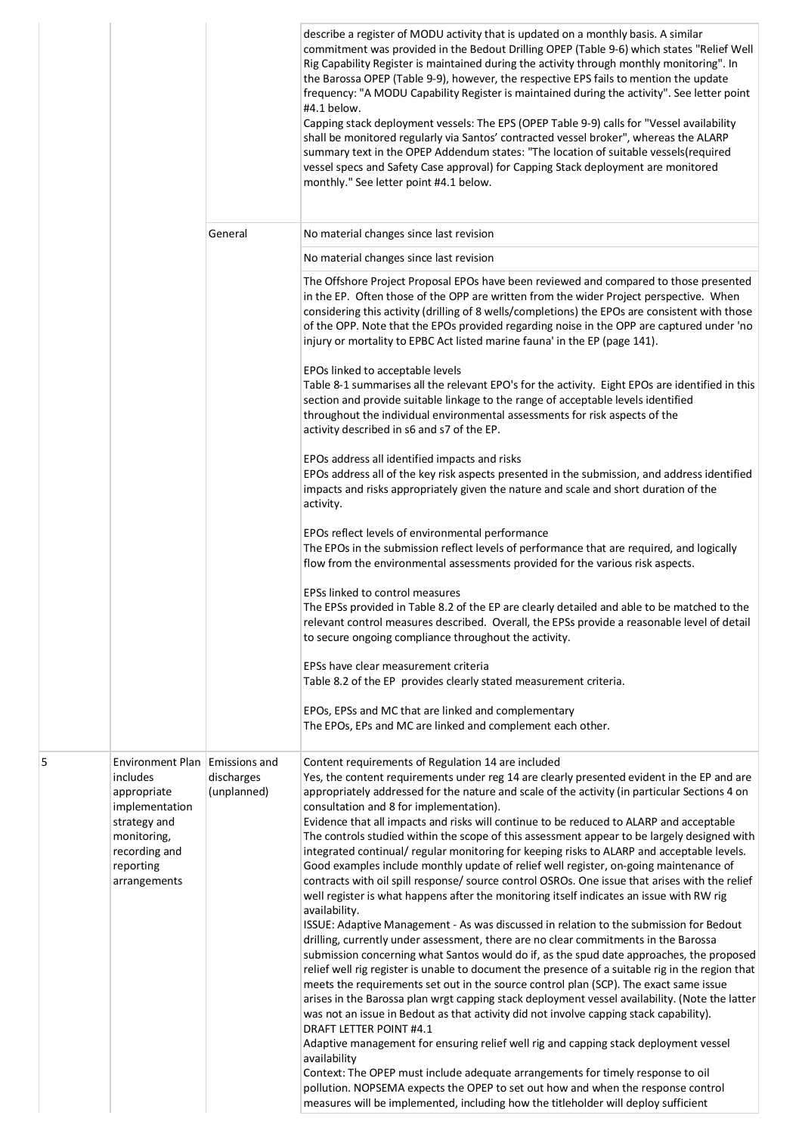|   |                                                                                                                                                          |                           | describe a register of MODU activity that is updated on a monthly basis. A similar<br>commitment was provided in the Bedout Drilling OPEP (Table 9-6) which states "Relief Well<br>Rig Capability Register is maintained during the activity through monthly monitoring". In<br>the Barossa OPEP (Table 9-9), however, the respective EPS fails to mention the update<br>frequency: "A MODU Capability Register is maintained during the activity". See letter point<br>#4.1 below.<br>Capping stack deployment vessels: The EPS (OPEP Table 9-9) calls for "Vessel availability<br>shall be monitored regularly via Santos' contracted vessel broker", whereas the ALARP<br>summary text in the OPEP Addendum states: "The location of suitable vessels(required<br>vessel specs and Safety Case approval) for Capping Stack deployment are monitored<br>monthly." See letter point #4.1 below.                                                                                                                                                                                                                                                                                                                                                                                                                                                                                                                                                                                                                                                                                                                                                                                             |
|---|----------------------------------------------------------------------------------------------------------------------------------------------------------|---------------------------|----------------------------------------------------------------------------------------------------------------------------------------------------------------------------------------------------------------------------------------------------------------------------------------------------------------------------------------------------------------------------------------------------------------------------------------------------------------------------------------------------------------------------------------------------------------------------------------------------------------------------------------------------------------------------------------------------------------------------------------------------------------------------------------------------------------------------------------------------------------------------------------------------------------------------------------------------------------------------------------------------------------------------------------------------------------------------------------------------------------------------------------------------------------------------------------------------------------------------------------------------------------------------------------------------------------------------------------------------------------------------------------------------------------------------------------------------------------------------------------------------------------------------------------------------------------------------------------------------------------------------------------------------------------------------------------------|
|   |                                                                                                                                                          | General                   | No material changes since last revision                                                                                                                                                                                                                                                                                                                                                                                                                                                                                                                                                                                                                                                                                                                                                                                                                                                                                                                                                                                                                                                                                                                                                                                                                                                                                                                                                                                                                                                                                                                                                                                                                                                      |
|   |                                                                                                                                                          |                           | No material changes since last revision                                                                                                                                                                                                                                                                                                                                                                                                                                                                                                                                                                                                                                                                                                                                                                                                                                                                                                                                                                                                                                                                                                                                                                                                                                                                                                                                                                                                                                                                                                                                                                                                                                                      |
|   |                                                                                                                                                          |                           | The Offshore Project Proposal EPOs have been reviewed and compared to those presented<br>in the EP. Often those of the OPP are written from the wider Project perspective. When<br>considering this activity (drilling of 8 wells/completions) the EPOs are consistent with those<br>of the OPP. Note that the EPOs provided regarding noise in the OPP are captured under 'no<br>injury or mortality to EPBC Act listed marine fauna' in the EP (page 141).                                                                                                                                                                                                                                                                                                                                                                                                                                                                                                                                                                                                                                                                                                                                                                                                                                                                                                                                                                                                                                                                                                                                                                                                                                 |
|   |                                                                                                                                                          |                           | EPOs linked to acceptable levels<br>Table 8-1 summarises all the relevant EPO's for the activity. Eight EPOs are identified in this<br>section and provide suitable linkage to the range of acceptable levels identified<br>throughout the individual environmental assessments for risk aspects of the<br>activity described in s6 and s7 of the EP.                                                                                                                                                                                                                                                                                                                                                                                                                                                                                                                                                                                                                                                                                                                                                                                                                                                                                                                                                                                                                                                                                                                                                                                                                                                                                                                                        |
|   |                                                                                                                                                          |                           | EPOs address all identified impacts and risks<br>EPOs address all of the key risk aspects presented in the submission, and address identified<br>impacts and risks appropriately given the nature and scale and short duration of the<br>activity.                                                                                                                                                                                                                                                                                                                                                                                                                                                                                                                                                                                                                                                                                                                                                                                                                                                                                                                                                                                                                                                                                                                                                                                                                                                                                                                                                                                                                                           |
|   |                                                                                                                                                          |                           | EPOs reflect levels of environmental performance<br>The EPOs in the submission reflect levels of performance that are required, and logically<br>flow from the environmental assessments provided for the various risk aspects.                                                                                                                                                                                                                                                                                                                                                                                                                                                                                                                                                                                                                                                                                                                                                                                                                                                                                                                                                                                                                                                                                                                                                                                                                                                                                                                                                                                                                                                              |
|   |                                                                                                                                                          |                           | EPSs linked to control measures<br>The EPSs provided in Table 8.2 of the EP are clearly detailed and able to be matched to the<br>relevant control measures described. Overall, the EPSs provide a reasonable level of detail<br>to secure ongoing compliance throughout the activity.                                                                                                                                                                                                                                                                                                                                                                                                                                                                                                                                                                                                                                                                                                                                                                                                                                                                                                                                                                                                                                                                                                                                                                                                                                                                                                                                                                                                       |
|   |                                                                                                                                                          |                           | EPSs have clear measurement criteria<br>Table 8.2 of the EP provides clearly stated measurement criteria.                                                                                                                                                                                                                                                                                                                                                                                                                                                                                                                                                                                                                                                                                                                                                                                                                                                                                                                                                                                                                                                                                                                                                                                                                                                                                                                                                                                                                                                                                                                                                                                    |
|   |                                                                                                                                                          |                           | EPOs, EPSs and MC that are linked and complementary<br>The EPOs, EPs and MC are linked and complement each other.                                                                                                                                                                                                                                                                                                                                                                                                                                                                                                                                                                                                                                                                                                                                                                                                                                                                                                                                                                                                                                                                                                                                                                                                                                                                                                                                                                                                                                                                                                                                                                            |
| 5 | Environment Plan Emissions and<br>includes<br>appropriate<br>implementation<br>strategy and<br>monitoring,<br>recording and<br>reporting<br>arrangements | discharges<br>(unplanned) | Content requirements of Regulation 14 are included<br>Yes, the content requirements under reg 14 are clearly presented evident in the EP and are<br>appropriately addressed for the nature and scale of the activity (in particular Sections 4 on<br>consultation and 8 for implementation).<br>Evidence that all impacts and risks will continue to be reduced to ALARP and acceptable<br>The controls studied within the scope of this assessment appear to be largely designed with<br>integrated continual/ regular monitoring for keeping risks to ALARP and acceptable levels.<br>Good examples include monthly update of relief well register, on-going maintenance of<br>contracts with oil spill response/ source control OSROs. One issue that arises with the relief<br>well register is what happens after the monitoring itself indicates an issue with RW rig<br>availability.<br>ISSUE: Adaptive Management - As was discussed in relation to the submission for Bedout<br>drilling, currently under assessment, there are no clear commitments in the Barossa<br>submission concerning what Santos would do if, as the spud date approaches, the proposed<br>relief well rig register is unable to document the presence of a suitable rig in the region that<br>meets the requirements set out in the source control plan (SCP). The exact same issue<br>arises in the Barossa plan wrgt capping stack deployment vessel availability. (Note the latter<br>was not an issue in Bedout as that activity did not involve capping stack capability).<br><b>DRAFT LETTER POINT #4.1</b><br>Adaptive management for ensuring relief well rig and capping stack deployment vessel |
|   |                                                                                                                                                          |                           | availability<br>Context: The OPEP must include adequate arrangements for timely response to oil<br>pollution. NOPSEMA expects the OPEP to set out how and when the response control<br>measures will be implemented, including how the titleholder will deploy sufficient                                                                                                                                                                                                                                                                                                                                                                                                                                                                                                                                                                                                                                                                                                                                                                                                                                                                                                                                                                                                                                                                                                                                                                                                                                                                                                                                                                                                                    |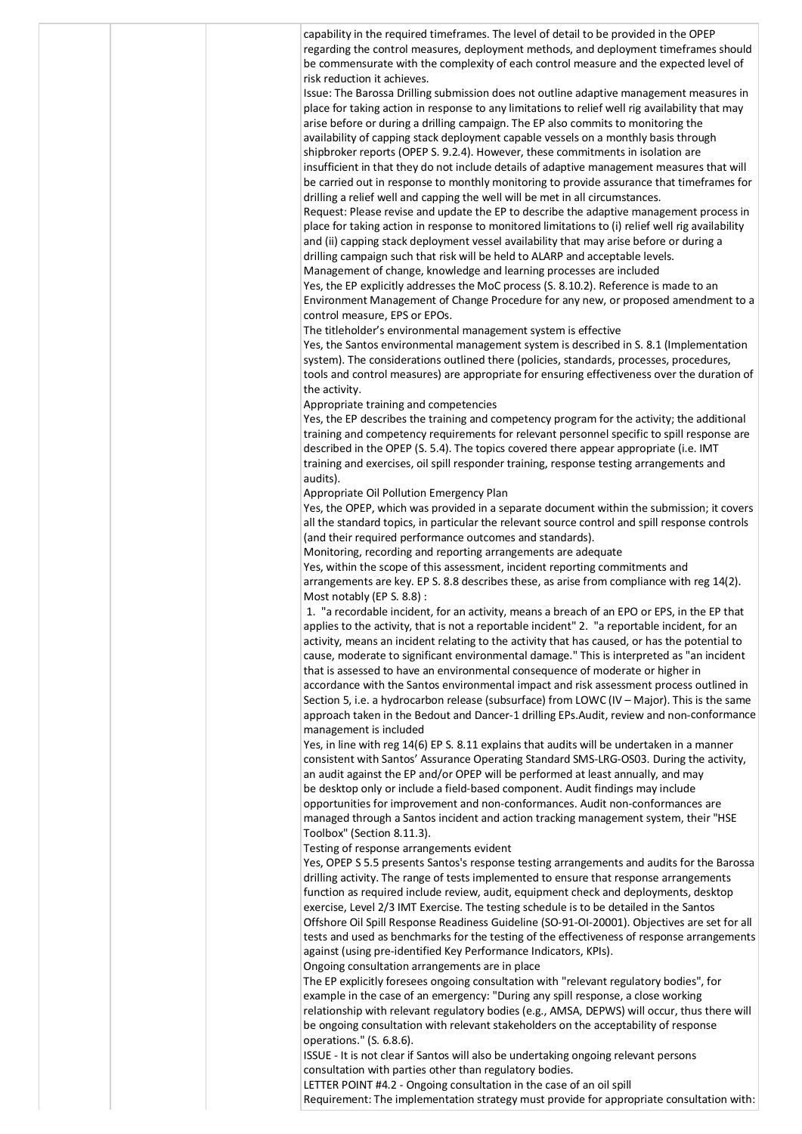|  | capability in the required timeframes. The level of detail to be provided in the OPEP<br>regarding the control measures, deployment methods, and deployment timeframes should                  |
|--|------------------------------------------------------------------------------------------------------------------------------------------------------------------------------------------------|
|  | be commensurate with the complexity of each control measure and the expected level of<br>risk reduction it achieves.                                                                           |
|  | Issue: The Barossa Drilling submission does not outline adaptive management measures in                                                                                                        |
|  | place for taking action in response to any limitations to relief well rig availability that may<br>arise before or during a drilling campaign. The EP also commits to monitoring the           |
|  | availability of capping stack deployment capable vessels on a monthly basis through                                                                                                            |
|  | shipbroker reports (OPEP S. 9.2.4). However, these commitments in isolation are                                                                                                                |
|  | insufficient in that they do not include details of adaptive management measures that will<br>be carried out in response to monthly monitoring to provide assurance that timeframes for        |
|  | drilling a relief well and capping the well will be met in all circumstances.                                                                                                                  |
|  | Request: Please revise and update the EP to describe the adaptive management process in<br>place for taking action in response to monitored limitations to (i) relief well rig availability    |
|  | and (ii) capping stack deployment vessel availability that may arise before or during a                                                                                                        |
|  | drilling campaign such that risk will be held to ALARP and acceptable levels.                                                                                                                  |
|  | Management of change, knowledge and learning processes are included<br>Yes, the EP explicitly addresses the MoC process (S. 8.10.2). Reference is made to an                                   |
|  | Environment Management of Change Procedure for any new, or proposed amendment to a                                                                                                             |
|  | control measure, EPS or EPOs.<br>The titleholder's environmental management system is effective                                                                                                |
|  | Yes, the Santos environmental management system is described in S. 8.1 (Implementation                                                                                                         |
|  | system). The considerations outlined there (policies, standards, processes, procedures,                                                                                                        |
|  | tools and control measures) are appropriate for ensuring effectiveness over the duration of<br>the activity.                                                                                   |
|  | Appropriate training and competencies                                                                                                                                                          |
|  | Yes, the EP describes the training and competency program for the activity; the additional<br>training and competency requirements for relevant personnel specific to spill response are       |
|  | described in the OPEP (S. 5.4). The topics covered there appear appropriate (i.e. IMT                                                                                                          |
|  | training and exercises, oil spill responder training, response testing arrangements and                                                                                                        |
|  | audits).<br>Appropriate Oil Pollution Emergency Plan                                                                                                                                           |
|  | Yes, the OPEP, which was provided in a separate document within the submission; it covers                                                                                                      |
|  | all the standard topics, in particular the relevant source control and spill response controls<br>(and their required performance outcomes and standards).                                     |
|  | Monitoring, recording and reporting arrangements are adequate                                                                                                                                  |
|  | Yes, within the scope of this assessment, incident reporting commitments and                                                                                                                   |
|  | arrangements are key. EP S. 8.8 describes these, as arise from compliance with reg 14(2).<br>Most notably (EP S. 8.8):                                                                         |
|  | 1. "a recordable incident, for an activity, means a breach of an EPO or EPS, in the EP that                                                                                                    |
|  | applies to the activity, that is not a reportable incident" 2. "a reportable incident, for an<br>activity, means an incident relating to the activity that has caused, or has the potential to |
|  | cause, moderate to significant environmental damage." This is interpreted as "an incident                                                                                                      |
|  | that is assessed to have an environmental consequence of moderate or higher in<br>accordance with the Santos environmental impact and risk assessment process outlined in                      |
|  | Section 5, i.e. a hydrocarbon release (subsurface) from LOWC (IV - Major). This is the same                                                                                                    |
|  | approach taken in the Bedout and Dancer-1 drilling EPs.Audit, review and non-conformance                                                                                                       |
|  | management is included<br>Yes, in line with reg 14(6) EP S. 8.11 explains that audits will be undertaken in a manner                                                                           |
|  | consistent with Santos' Assurance Operating Standard SMS-LRG-OS03. During the activity,                                                                                                        |
|  | an audit against the EP and/or OPEP will be performed at least annually, and may<br>be desktop only or include a field-based component. Audit findings may include                             |
|  | opportunities for improvement and non-conformances. Audit non-conformances are                                                                                                                 |
|  | managed through a Santos incident and action tracking management system, their "HSE<br>Toolbox" (Section 8.11.3).                                                                              |
|  | Testing of response arrangements evident                                                                                                                                                       |
|  | Yes, OPEP S 5.5 presents Santos's response testing arrangements and audits for the Barossa                                                                                                     |
|  | drilling activity. The range of tests implemented to ensure that response arrangements<br>function as required include review, audit, equipment check and deployments, desktop                 |
|  | exercise, Level 2/3 IMT Exercise. The testing schedule is to be detailed in the Santos                                                                                                         |
|  | Offshore Oil Spill Response Readiness Guideline (SO-91-OI-20001). Objectives are set for all<br>tests and used as benchmarks for the testing of the effectiveness of response arrangements     |
|  | against (using pre-identified Key Performance Indicators, KPIs).                                                                                                                               |
|  | Ongoing consultation arrangements are in place                                                                                                                                                 |
|  | The EP explicitly foresees ongoing consultation with "relevant regulatory bodies", for<br>example in the case of an emergency: "During any spill response, a close working                     |
|  | relationship with relevant regulatory bodies (e.g., AMSA, DEPWS) will occur, thus there will                                                                                                   |
|  | be ongoing consultation with relevant stakeholders on the acceptability of response<br>operations." (S. 6.8.6).                                                                                |
|  | ISSUE - It is not clear if Santos will also be undertaking ongoing relevant persons                                                                                                            |
|  | consultation with parties other than regulatory bodies.<br>LETTER POINT #4.2 - Ongoing consultation in the case of an oil spill                                                                |
|  | Requirement: The implementation strategy must provide for appropriate consultation with:                                                                                                       |
|  |                                                                                                                                                                                                |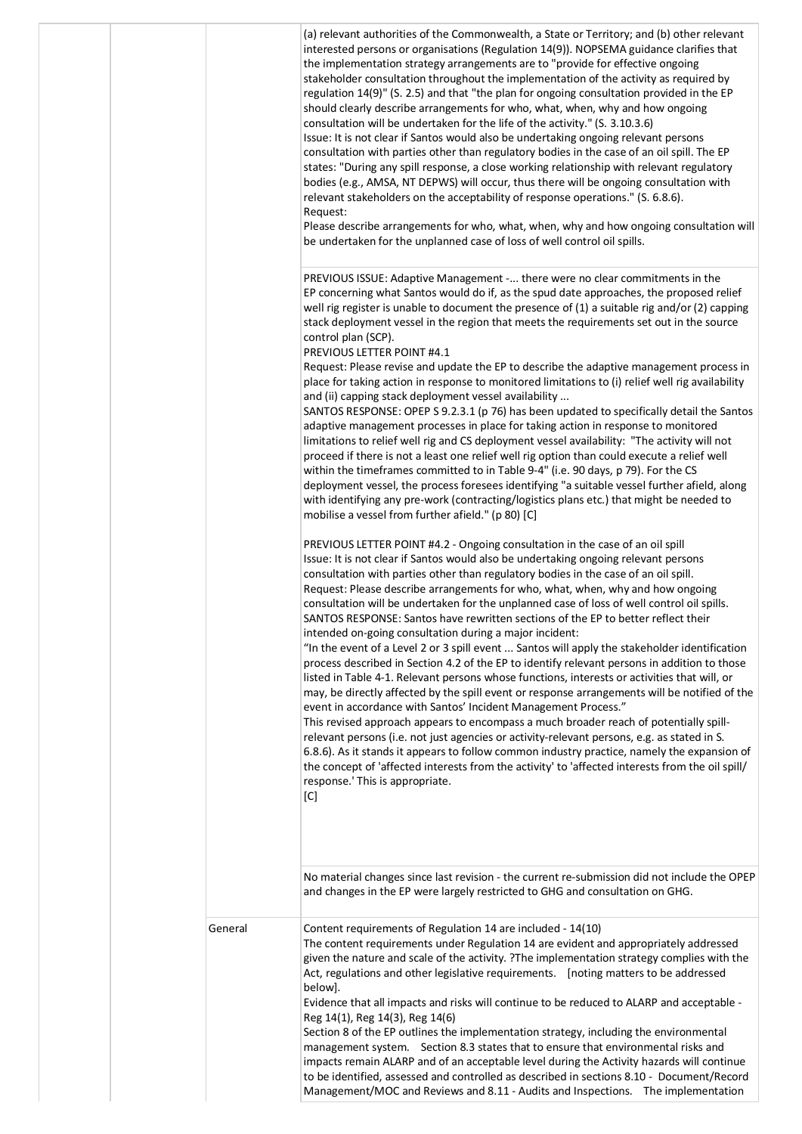|         | (a) relevant authorities of the Commonwealth, a State or Territory; and (b) other relevant<br>interested persons or organisations (Regulation 14(9)). NOPSEMA guidance clarifies that<br>the implementation strategy arrangements are to "provide for effective ongoing<br>stakeholder consultation throughout the implementation of the activity as required by<br>regulation 14(9)" (S. 2.5) and that "the plan for ongoing consultation provided in the EP<br>should clearly describe arrangements for who, what, when, why and how ongoing<br>consultation will be undertaken for the life of the activity." (S. 3.10.3.6)<br>Issue: It is not clear if Santos would also be undertaking ongoing relevant persons<br>consultation with parties other than regulatory bodies in the case of an oil spill. The EP<br>states: "During any spill response, a close working relationship with relevant regulatory<br>bodies (e.g., AMSA, NT DEPWS) will occur, thus there will be ongoing consultation with<br>relevant stakeholders on the acceptability of response operations." (S. 6.8.6).<br>Request:<br>Please describe arrangements for who, what, when, why and how ongoing consultation will<br>be undertaken for the unplanned case of loss of well control oil spills.                                                                                                                                                                                                                     |
|---------|------------------------------------------------------------------------------------------------------------------------------------------------------------------------------------------------------------------------------------------------------------------------------------------------------------------------------------------------------------------------------------------------------------------------------------------------------------------------------------------------------------------------------------------------------------------------------------------------------------------------------------------------------------------------------------------------------------------------------------------------------------------------------------------------------------------------------------------------------------------------------------------------------------------------------------------------------------------------------------------------------------------------------------------------------------------------------------------------------------------------------------------------------------------------------------------------------------------------------------------------------------------------------------------------------------------------------------------------------------------------------------------------------------------------------------------------------------------------------------------------------|
|         | PREVIOUS ISSUE: Adaptive Management - there were no clear commitments in the<br>EP concerning what Santos would do if, as the spud date approaches, the proposed relief<br>well rig register is unable to document the presence of $(1)$ a suitable rig and/or $(2)$ capping<br>stack deployment vessel in the region that meets the requirements set out in the source<br>control plan (SCP).<br>PREVIOUS LETTER POINT #4.1<br>Request: Please revise and update the EP to describe the adaptive management process in<br>place for taking action in response to monitored limitations to (i) relief well rig availability<br>and (ii) capping stack deployment vessel availability<br>SANTOS RESPONSE: OPEP S 9.2.3.1 (p 76) has been updated to specifically detail the Santos<br>adaptive management processes in place for taking action in response to monitored<br>limitations to relief well rig and CS deployment vessel availability: "The activity will not<br>proceed if there is not a least one relief well rig option than could execute a relief well<br>within the timeframes committed to in Table 9-4" (i.e. 90 days, p 79). For the CS<br>deployment vessel, the process foresees identifying "a suitable vessel further afield, along<br>with identifying any pre-work (contracting/logistics plans etc.) that might be needed to<br>mobilise a vessel from further afield." (p 80) [C]                                                                                         |
|         | PREVIOUS LETTER POINT #4.2 - Ongoing consultation in the case of an oil spill<br>Issue: It is not clear if Santos would also be undertaking ongoing relevant persons<br>consultation with parties other than regulatory bodies in the case of an oil spill.<br>Request: Please describe arrangements for who, what, when, why and how ongoing<br>consultation will be undertaken for the unplanned case of loss of well control oil spills.<br>SANTOS RESPONSE: Santos have rewritten sections of the EP to better reflect their<br>intended on-going consultation during a major incident:<br>"In the event of a Level 2 or 3 spill event  Santos will apply the stakeholder identification<br>process described in Section 4.2 of the EP to identify relevant persons in addition to those<br>listed in Table 4-1. Relevant persons whose functions, interests or activities that will, or<br>may, be directly affected by the spill event or response arrangements will be notified of the<br>event in accordance with Santos' Incident Management Process."<br>This revised approach appears to encompass a much broader reach of potentially spill-<br>relevant persons (i.e. not just agencies or activity-relevant persons, e.g. as stated in S.<br>6.8.6). As it stands it appears to follow common industry practice, namely the expansion of<br>the concept of 'affected interests from the activity' to 'affected interests from the oil spill/<br>response.' This is appropriate.<br>[C] |
|         | No material changes since last revision - the current re-submission did not include the OPEP<br>and changes in the EP were largely restricted to GHG and consultation on GHG.                                                                                                                                                                                                                                                                                                                                                                                                                                                                                                                                                                                                                                                                                                                                                                                                                                                                                                                                                                                                                                                                                                                                                                                                                                                                                                                        |
| General | Content requirements of Regulation 14 are included - 14(10)<br>The content requirements under Regulation 14 are evident and appropriately addressed<br>given the nature and scale of the activity. ?The implementation strategy complies with the<br>Act, regulations and other legislative requirements. [noting matters to be addressed<br>below].<br>Evidence that all impacts and risks will continue to be reduced to ALARP and acceptable -<br>Reg 14(1), Reg 14(3), Reg 14(6)<br>Section 8 of the EP outlines the implementation strategy, including the environmental<br>management system. Section 8.3 states that to ensure that environmental risks and<br>impacts remain ALARP and of an acceptable level during the Activity hazards will continue<br>to be identified, assessed and controlled as described in sections 8.10 - Document/Record<br>Management/MOC and Reviews and 8.11 - Audits and Inspections. The implementation                                                                                                                                                                                                                                                                                                                                                                                                                                                                                                                                                     |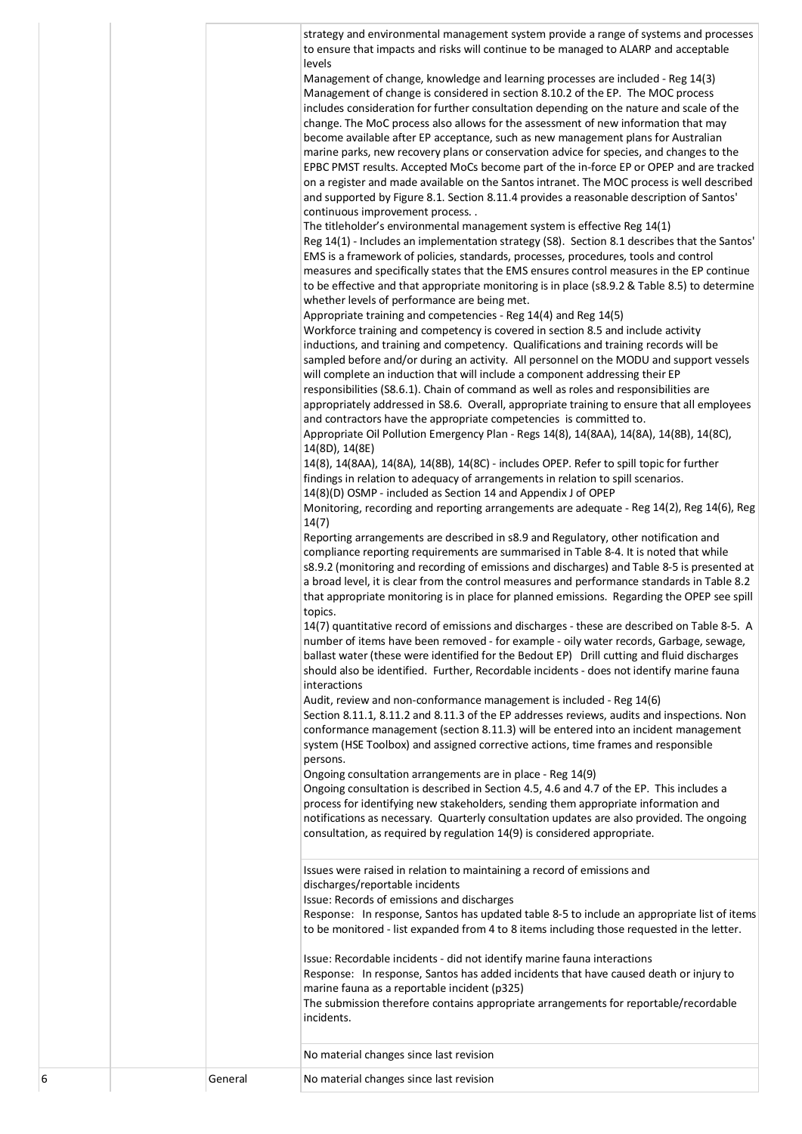|   |         | strategy and environmental management system provide a range of systems and processes<br>to ensure that impacts and risks will continue to be managed to ALARP and acceptable<br>levels<br>Management of change, knowledge and learning processes are included - Reg 14(3)<br>Management of change is considered in section 8.10.2 of the EP. The MOC process<br>includes consideration for further consultation depending on the nature and scale of the<br>change. The MoC process also allows for the assessment of new information that may<br>become available after EP acceptance, such as new management plans for Australian<br>marine parks, new recovery plans or conservation advice for species, and changes to the<br>EPBC PMST results. Accepted MoCs become part of the in-force EP or OPEP and are tracked<br>on a register and made available on the Santos intranet. The MOC process is well described<br>and supported by Figure 8.1. Section 8.11.4 provides a reasonable description of Santos'<br>continuous improvement process<br>The titleholder's environmental management system is effective Reg 14(1)<br>Reg 14(1) - Includes an implementation strategy (S8). Section 8.1 describes that the Santos'<br>EMS is a framework of policies, standards, processes, procedures, tools and control<br>measures and specifically states that the EMS ensures control measures in the EP continue<br>to be effective and that appropriate monitoring is in place (s8.9.2 & Table 8.5) to determine<br>whether levels of performance are being met.<br>Appropriate training and competencies - Reg 14(4) and Reg 14(5)<br>Workforce training and competency is covered in section 8.5 and include activity<br>inductions, and training and competency. Qualifications and training records will be<br>sampled before and/or during an activity. All personnel on the MODU and support vessels<br>will complete an induction that will include a component addressing their EP<br>responsibilities (S8.6.1). Chain of command as well as roles and responsibilities are<br>appropriately addressed in S8.6. Overall, appropriate training to ensure that all employees<br>and contractors have the appropriate competencies is committed to.<br>Appropriate Oil Pollution Emergency Plan - Regs 14(8), 14(8AA), 14(8A), 14(8B), 14(8C),<br>14(8D), 14(8E)<br>14(8), 14(8AA), 14(8A), 14(8B), 14(8C) - includes OPEP. Refer to spill topic for further<br>findings in relation to adequacy of arrangements in relation to spill scenarios.<br>14(8)(D) OSMP - included as Section 14 and Appendix J of OPEP<br>Monitoring, recording and reporting arrangements are adequate - Reg 14(2), Reg 14(6), Reg<br>14(7)<br>Reporting arrangements are described in s8.9 and Regulatory, other notification and<br>compliance reporting requirements are summarised in Table 8-4. It is noted that while<br>s8.9.2 (monitoring and recording of emissions and discharges) and Table 8-5 is presented at<br>a broad level, it is clear from the control measures and performance standards in Table 8.2<br>that appropriate monitoring is in place for planned emissions. Regarding the OPEP see spill<br>topics.<br>14(7) quantitative record of emissions and discharges - these are described on Table 8-5. A<br>number of items have been removed - for example - oily water records, Garbage, sewage,<br>ballast water (these were identified for the Bedout EP) Drill cutting and fluid discharges<br>should also be identified. Further, Recordable incidents - does not identify marine fauna<br>interactions<br>Audit, review and non-conformance management is included - Reg 14(6)<br>Section 8.11.1, 8.11.2 and 8.11.3 of the EP addresses reviews, audits and inspections. Non<br>conformance management (section 8.11.3) will be entered into an incident management<br>system (HSE Toolbox) and assigned corrective actions, time frames and responsible<br>persons.<br>Ongoing consultation arrangements are in place - Reg 14(9)<br>Ongoing consultation is described in Section 4.5, 4.6 and 4.7 of the EP. This includes a<br>process for identifying new stakeholders, sending them appropriate information and<br>notifications as necessary. Quarterly consultation updates are also provided. The ongoing<br>consultation, as required by regulation 14(9) is considered appropriate.<br>Issues were raised in relation to maintaining a record of emissions and<br>discharges/reportable incidents<br>Issue: Records of emissions and discharges<br>Response: In response, Santos has updated table 8-5 to include an appropriate list of items<br>to be monitored - list expanded from 4 to 8 items including those requested in the letter.<br>Issue: Recordable incidents - did not identify marine fauna interactions |
|---|---------|-------------------------------------------------------------------------------------------------------------------------------------------------------------------------------------------------------------------------------------------------------------------------------------------------------------------------------------------------------------------------------------------------------------------------------------------------------------------------------------------------------------------------------------------------------------------------------------------------------------------------------------------------------------------------------------------------------------------------------------------------------------------------------------------------------------------------------------------------------------------------------------------------------------------------------------------------------------------------------------------------------------------------------------------------------------------------------------------------------------------------------------------------------------------------------------------------------------------------------------------------------------------------------------------------------------------------------------------------------------------------------------------------------------------------------------------------------------------------------------------------------------------------------------------------------------------------------------------------------------------------------------------------------------------------------------------------------------------------------------------------------------------------------------------------------------------------------------------------------------------------------------------------------------------------------------------------------------------------------------------------------------------------------------------------------------------------------------------------------------------------------------------------------------------------------------------------------------------------------------------------------------------------------------------------------------------------------------------------------------------------------------------------------------------------------------------------------------------------------------------------------------------------------------------------------------------------------------------------------------------------------------------------------------------------------------------------------------------------------------------------------------------------------------------------------------------------------------------------------------------------------------------------------------------------------------------------------------------------------------------------------------------------------------------------------------------------------------------------------------------------------------------------------------------------------------------------------------------------------------------------------------------------------------------------------------------------------------------------------------------------------------------------------------------------------------------------------------------------------------------------------------------------------------------------------------------------------------------------------------------------------------------------------------------------------------------------------------------------------------------------------------------------------------------------------------------------------------------------------------------------------------------------------------------------------------------------------------------------------------------------------------------------------------------------------------------------------------------------------------------------------------------------------------------------------------------------------------------------------------------------------------------------------------------------------------------------------------------------------------------------------------------------------------------------------------------------------------------------------------------------------------------------------------------------------------------------------------------------------------------------------------------------------------------------------------------------------------------------------------------------------------------------------------------------------------------------------------------------------------|
|   |         | Response: In response, Santos has added incidents that have caused death or injury to<br>marine fauna as a reportable incident (p325)                                                                                                                                                                                                                                                                                                                                                                                                                                                                                                                                                                                                                                                                                                                                                                                                                                                                                                                                                                                                                                                                                                                                                                                                                                                                                                                                                                                                                                                                                                                                                                                                                                                                                                                                                                                                                                                                                                                                                                                                                                                                                                                                                                                                                                                                                                                                                                                                                                                                                                                                                                                                                                                                                                                                                                                                                                                                                                                                                                                                                                                                                                                                                                                                                                                                                                                                                                                                                                                                                                                                                                                                                                                                                                                                                                                                                                                                                                                                                                                                                                                                                                                                                                                                                                                                                                                                                                                                                                                                                                                                                                                                                                                                                                                       |
|   |         | The submission therefore contains appropriate arrangements for reportable/recordable<br>incidents.                                                                                                                                                                                                                                                                                                                                                                                                                                                                                                                                                                                                                                                                                                                                                                                                                                                                                                                                                                                                                                                                                                                                                                                                                                                                                                                                                                                                                                                                                                                                                                                                                                                                                                                                                                                                                                                                                                                                                                                                                                                                                                                                                                                                                                                                                                                                                                                                                                                                                                                                                                                                                                                                                                                                                                                                                                                                                                                                                                                                                                                                                                                                                                                                                                                                                                                                                                                                                                                                                                                                                                                                                                                                                                                                                                                                                                                                                                                                                                                                                                                                                                                                                                                                                                                                                                                                                                                                                                                                                                                                                                                                                                                                                                                                                          |
|   |         | No material changes since last revision                                                                                                                                                                                                                                                                                                                                                                                                                                                                                                                                                                                                                                                                                                                                                                                                                                                                                                                                                                                                                                                                                                                                                                                                                                                                                                                                                                                                                                                                                                                                                                                                                                                                                                                                                                                                                                                                                                                                                                                                                                                                                                                                                                                                                                                                                                                                                                                                                                                                                                                                                                                                                                                                                                                                                                                                                                                                                                                                                                                                                                                                                                                                                                                                                                                                                                                                                                                                                                                                                                                                                                                                                                                                                                                                                                                                                                                                                                                                                                                                                                                                                                                                                                                                                                                                                                                                                                                                                                                                                                                                                                                                                                                                                                                                                                                                                     |
| 6 | General | No material changes since last revision                                                                                                                                                                                                                                                                                                                                                                                                                                                                                                                                                                                                                                                                                                                                                                                                                                                                                                                                                                                                                                                                                                                                                                                                                                                                                                                                                                                                                                                                                                                                                                                                                                                                                                                                                                                                                                                                                                                                                                                                                                                                                                                                                                                                                                                                                                                                                                                                                                                                                                                                                                                                                                                                                                                                                                                                                                                                                                                                                                                                                                                                                                                                                                                                                                                                                                                                                                                                                                                                                                                                                                                                                                                                                                                                                                                                                                                                                                                                                                                                                                                                                                                                                                                                                                                                                                                                                                                                                                                                                                                                                                                                                                                                                                                                                                                                                     |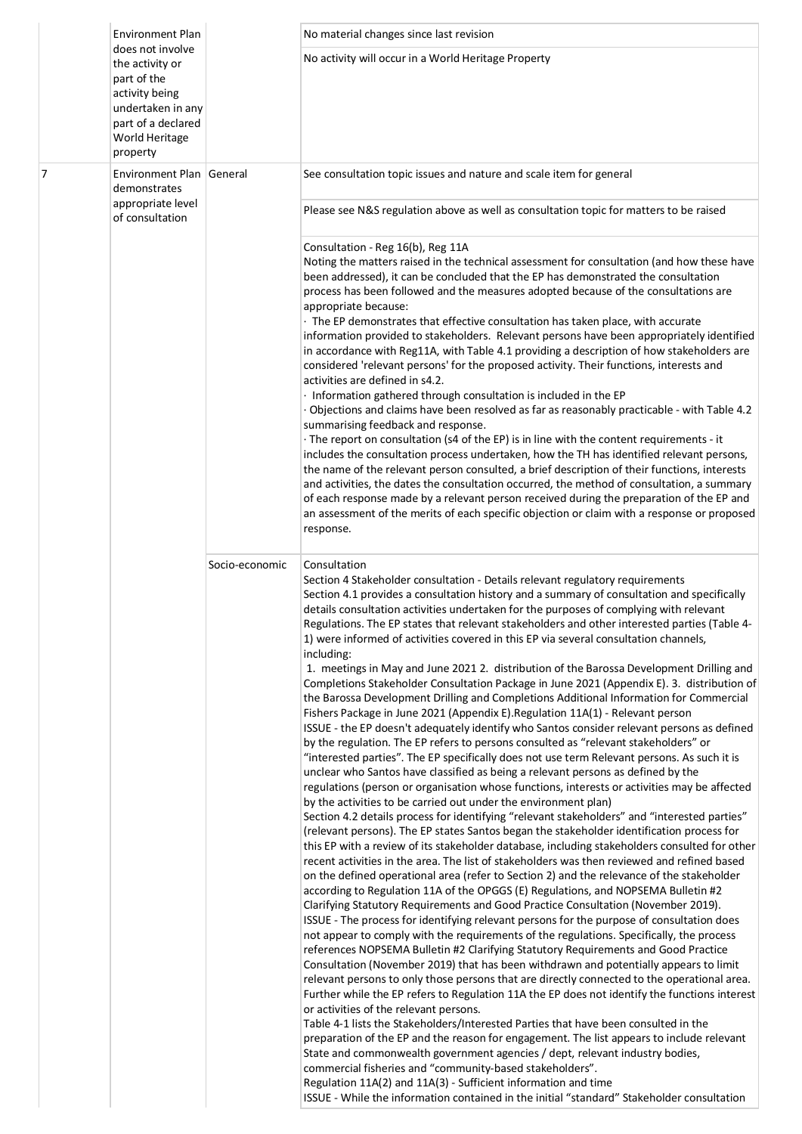|   | <b>Environment Plan</b>                                                                                                                       |                | No material changes since last revision                                                                                                                                                                                                                                                                                                                                                                                                                                                                                                                                                                                                                                                                                                                                                                                                                                                                                                                                                                                                                  |
|---|-----------------------------------------------------------------------------------------------------------------------------------------------|----------------|----------------------------------------------------------------------------------------------------------------------------------------------------------------------------------------------------------------------------------------------------------------------------------------------------------------------------------------------------------------------------------------------------------------------------------------------------------------------------------------------------------------------------------------------------------------------------------------------------------------------------------------------------------------------------------------------------------------------------------------------------------------------------------------------------------------------------------------------------------------------------------------------------------------------------------------------------------------------------------------------------------------------------------------------------------|
|   | does not involve<br>the activity or<br>part of the<br>activity being<br>undertaken in any<br>part of a declared<br>World Heritage<br>property |                | No activity will occur in a World Heritage Property                                                                                                                                                                                                                                                                                                                                                                                                                                                                                                                                                                                                                                                                                                                                                                                                                                                                                                                                                                                                      |
| 7 | Environment Plan General<br>demonstrates<br>appropriate level                                                                                 |                | See consultation topic issues and nature and scale item for general<br>Please see N&S regulation above as well as consultation topic for matters to be raised                                                                                                                                                                                                                                                                                                                                                                                                                                                                                                                                                                                                                                                                                                                                                                                                                                                                                            |
|   | of consultation                                                                                                                               |                | Consultation - Reg 16(b), Reg 11A<br>Noting the matters raised in the technical assessment for consultation (and how these have<br>been addressed), it can be concluded that the EP has demonstrated the consultation<br>process has been followed and the measures adopted because of the consultations are<br>appropriate because:<br>· The EP demonstrates that effective consultation has taken place, with accurate<br>information provided to stakeholders. Relevant persons have been appropriately identified<br>in accordance with Reg11A, with Table 4.1 providing a description of how stakeholders are<br>considered 'relevant persons' for the proposed activity. Their functions, interests and<br>activities are defined in s4.2.<br>· Information gathered through consultation is included in the EP<br>· Objections and claims have been resolved as far as reasonably practicable - with Table 4.2<br>summarising feedback and response.<br>· The report on consultation (s4 of the EP) is in line with the content requirements - it |
|   |                                                                                                                                               |                | includes the consultation process undertaken, how the TH has identified relevant persons,<br>the name of the relevant person consulted, a brief description of their functions, interests<br>and activities, the dates the consultation occurred, the method of consultation, a summary<br>of each response made by a relevant person received during the preparation of the EP and<br>an assessment of the merits of each specific objection or claim with a response or proposed<br>response.                                                                                                                                                                                                                                                                                                                                                                                                                                                                                                                                                          |
|   |                                                                                                                                               | Socio-economic | Consultation<br>Section 4 Stakeholder consultation - Details relevant regulatory requirements<br>Section 4.1 provides a consultation history and a summary of consultation and specifically<br>details consultation activities undertaken for the purposes of complying with relevant<br>Regulations. The EP states that relevant stakeholders and other interested parties (Table 4-<br>1) were informed of activities covered in this EP via several consultation channels,<br>including:                                                                                                                                                                                                                                                                                                                                                                                                                                                                                                                                                              |
|   |                                                                                                                                               |                | 1. meetings in May and June 2021 2. distribution of the Barossa Development Drilling and<br>Completions Stakeholder Consultation Package in June 2021 (Appendix E). 3. distribution of<br>the Barossa Development Drilling and Completions Additional Information for Commercial<br>Fishers Package in June 2021 (Appendix E). Regulation 11A(1) - Relevant person<br>ISSUE - the EP doesn't adequately identify who Santos consider relevant persons as defined<br>by the regulation. The EP refers to persons consulted as "relevant stakeholders" or<br>"interested parties". The EP specifically does not use term Relevant persons. As such it is<br>unclear who Santos have classified as being a relevant persons as defined by the<br>regulations (person or organisation whose functions, interests or activities may be affected                                                                                                                                                                                                               |
|   |                                                                                                                                               |                | by the activities to be carried out under the environment plan)<br>Section 4.2 details process for identifying "relevant stakeholders" and "interested parties"<br>(relevant persons). The EP states Santos began the stakeholder identification process for<br>this EP with a review of its stakeholder database, including stakeholders consulted for other<br>recent activities in the area. The list of stakeholders was then reviewed and refined based<br>on the defined operational area (refer to Section 2) and the relevance of the stakeholder<br>according to Regulation 11A of the OPGGS (E) Regulations, and NOPSEMA Bulletin #2<br>Clarifying Statutory Requirements and Good Practice Consultation (November 2019).                                                                                                                                                                                                                                                                                                                      |
|   |                                                                                                                                               |                | ISSUE - The process for identifying relevant persons for the purpose of consultation does<br>not appear to comply with the requirements of the regulations. Specifically, the process<br>references NOPSEMA Bulletin #2 Clarifying Statutory Requirements and Good Practice<br>Consultation (November 2019) that has been withdrawn and potentially appears to limit<br>relevant persons to only those persons that are directly connected to the operational area.<br>Further while the EP refers to Regulation 11A the EP does not identify the functions interest<br>or activities of the relevant persons.<br>Table 4-1 lists the Stakeholders/Interested Parties that have been consulted in the                                                                                                                                                                                                                                                                                                                                                    |
|   |                                                                                                                                               |                | preparation of the EP and the reason for engagement. The list appears to include relevant<br>State and commonwealth government agencies / dept, relevant industry bodies,<br>commercial fisheries and "community-based stakeholders".<br>Regulation 11A(2) and 11A(3) - Sufficient information and time<br>ISSUE - While the information contained in the initial "standard" Stakeholder consultation                                                                                                                                                                                                                                                                                                                                                                                                                                                                                                                                                                                                                                                    |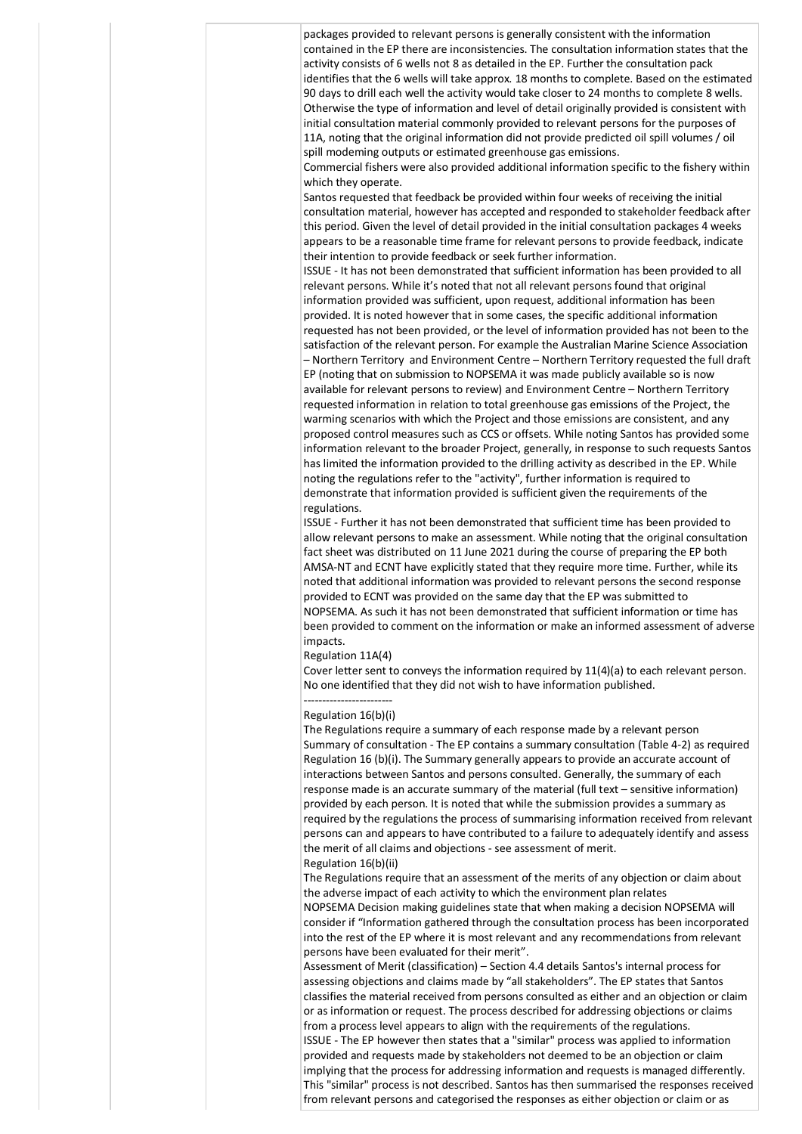packages provided to relevant persons is generally consistent with the information contained in the EP there are inconsistencies. The consultation information states that the activity consists of 6 wells not 8 as detailed in the EP. Further the consultation pack identifies that the 6 wells will take approx. 18 months to complete. Based on the estimated 90 days to drill each well the activity would take closer to 24 months to complete 8 wells. Otherwise the type of information and level of detail originally provided is consistent with initial consultation material commonly provided to relevant persons for the purposes of 11A, noting that the original information did not provide predicted oil spill volumes / oil spill modeming outputs or estimated greenhouse gas emissions. Commercial fishers were also provided additional information specific to the fishery within which they operate. Santos requested that feedback be provided within four weeks of receiving the initial consultation material, however has accepted and responded to stakeholder feedback after this period. Given the level of detail provided in the initial consultation packages 4 weeks appears to be a reasonable time frame for relevant persons to provide feedback, indicate their intention to provide feedback or seek further information. ISSUE - It has not been demonstrated that sufficient information has been provided to all relevant persons. While it's noted that not all relevant persons found that original information provided was sufficient, upon request, additional information has been provided. It is noted however that in some cases, the specific additional information requested has not been provided, or the level of information provided has not been to the satisfaction of the relevant person. For example the Australian Marine Science Association

– Northern Territory and Environment Centre – Northern Territory requested the full draft EP (noting that on submission to NOPSEMA it was made publicly available so is now available for relevant persons to review) and Environment Centre – Northern Territory requested information in relation to total greenhouse gas emissions of the Project, the warming scenarios with which the Project and those emissions are consistent, and any proposed control measures such as CCS or offsets. While noting Santos has provided some information relevant to the broader Project, generally, in response to such requests Santos has limited the information provided to the drilling activity as described in the EP. While noting the regulations refer to the "activity", further information is required to demonstrate that information provided is sufficient given the requirements of the regulations.

ISSUE - Further it has not been demonstrated that sufficient time has been provided to allow relevant persons to make an assessment. While noting that the original consultation fact sheet was distributed on 11 June 2021 during the course of preparing the EP both AMSA-NT and ECNT have explicitly stated that they require more time. Further, while its noted that additional information was provided to relevant persons the second response provided to ECNT was provided on the same day that the EP was submitted to NOPSEMA. As such it has not been demonstrated that sufficient information or time has been provided to comment on the information or make an informed assessment of adverse impacts.

## Regulation 11A(4)

Cover letter sent to conveys the information required by 11(4)(a) to each relevant person. No one identified that they did not wish to have information published.

## ------------------------ Regulation 16(b)(i)

The Regulations require a summary of each response made by a relevant person Summary of consultation - The EP contains a summary consultation (Table 4-2) as required Regulation 16 (b)(i). The Summary generally appears to provide an accurate account of interactions between Santos and persons consulted. Generally, the summary of each response made is an accurate summary of the material (full text – sensitive information) provided by each person. It is noted that while the submission provides a summary as required by the regulations the process of summarising information received from relevant persons can and appears to have contributed to a failure to adequately identify and assess the merit of all claims and objections - see assessment of merit.

## Regulation 16(b)(ii)

The Regulations require that an assessment of the merits of any objection or claim about the adverse impact of each activity to which the environment plan relates NOPSEMA Decision making guidelines state that when making a decision NOPSEMA will consider if "Information gathered through the consultation process has been incorporated

into the rest of the EP where it is most relevant and any recommendations from relevant persons have been evaluated for their merit". Assessment of Merit (classification) – Section 4.4 details Santos's internal process for assessing objections and claims made by "all stakeholders". The EP states that Santos classifies the material received from persons consulted as either and an objection or claim

or as information or request. The process described for addressing objections or claims from a process level appears to align with the requirements of the regulations. ISSUE - The EP however then states that a "similar" process was applied to information provided and requests made by stakeholders not deemed to be an objection or claim implying that the process for addressing information and requests is managed differently. This "similar" process is not described. Santos has then summarised the responses received from relevant persons and categorised the responses as either objection or claim or as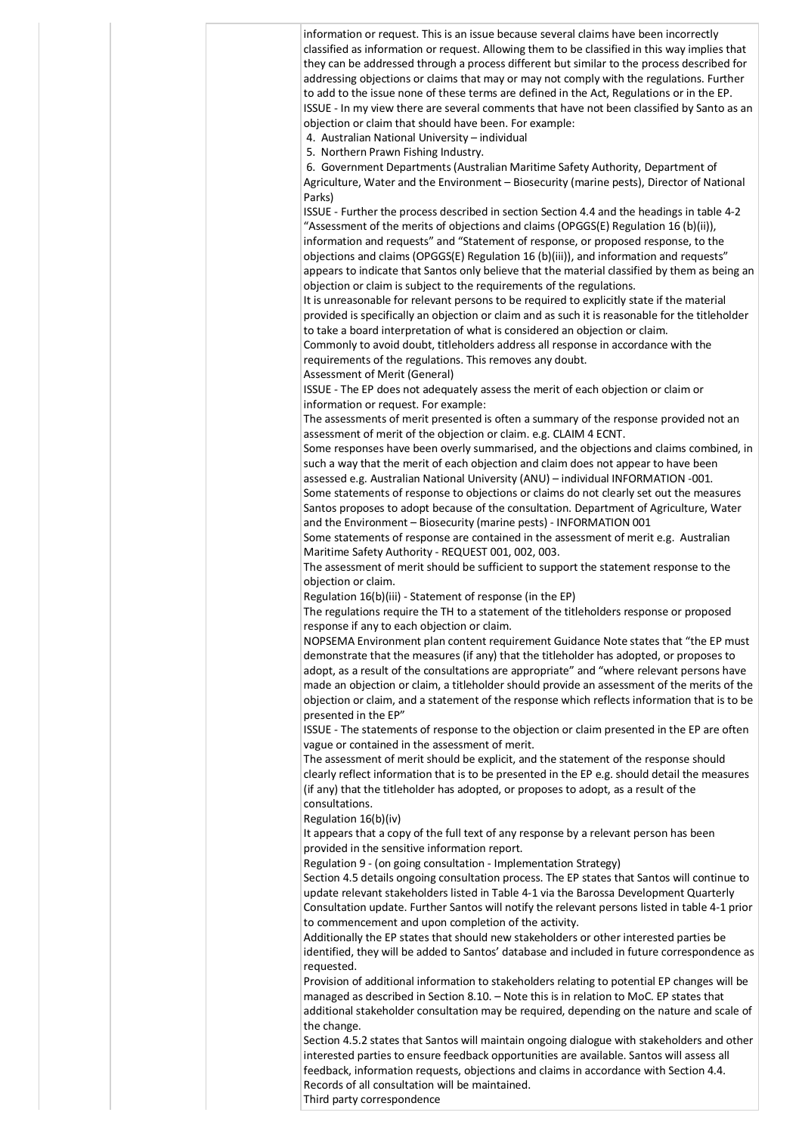| information or request. This is an issue because several claims have been incorrectly<br>classified as information or request. Allowing them to be classified in this way implies that<br>they can be addressed through a process different but similar to the process described for<br>addressing objections or claims that may or may not comply with the regulations. Further<br>to add to the issue none of these terms are defined in the Act, Regulations or in the EP.                                                                |
|----------------------------------------------------------------------------------------------------------------------------------------------------------------------------------------------------------------------------------------------------------------------------------------------------------------------------------------------------------------------------------------------------------------------------------------------------------------------------------------------------------------------------------------------|
| ISSUE - In my view there are several comments that have not been classified by Santo as an<br>objection or claim that should have been. For example:                                                                                                                                                                                                                                                                                                                                                                                         |
| 4. Australian National University - individual<br>5. Northern Prawn Fishing Industry.<br>6. Government Departments (Australian Maritime Safety Authority, Department of                                                                                                                                                                                                                                                                                                                                                                      |
| Agriculture, Water and the Environment - Biosecurity (marine pests), Director of National<br>Parks)                                                                                                                                                                                                                                                                                                                                                                                                                                          |
| ISSUE - Further the process described in section Section 4.4 and the headings in table 4-2<br>"Assessment of the merits of objections and claims (OPGGS(E) Regulation 16 (b)(ii)),<br>information and requests" and "Statement of response, or proposed response, to the<br>objections and claims (OPGGS(E) Regulation 16 (b)(iii)), and information and requests"<br>appears to indicate that Santos only believe that the material classified by them as being an<br>objection or claim is subject to the requirements of the regulations. |
| It is unreasonable for relevant persons to be required to explicitly state if the material<br>provided is specifically an objection or claim and as such it is reasonable for the titleholder<br>to take a board interpretation of what is considered an objection or claim.                                                                                                                                                                                                                                                                 |
| Commonly to avoid doubt, titleholders address all response in accordance with the<br>requirements of the regulations. This removes any doubt.<br>Assessment of Merit (General)                                                                                                                                                                                                                                                                                                                                                               |
| ISSUE - The EP does not adequately assess the merit of each objection or claim or<br>information or request. For example:                                                                                                                                                                                                                                                                                                                                                                                                                    |
| The assessments of merit presented is often a summary of the response provided not an<br>assessment of merit of the objection or claim. e.g. CLAIM 4 ECNT.                                                                                                                                                                                                                                                                                                                                                                                   |
| Some responses have been overly summarised, and the objections and claims combined, in<br>such a way that the merit of each objection and claim does not appear to have been<br>assessed e.g. Australian National University (ANU) - individual INFORMATION -001.                                                                                                                                                                                                                                                                            |
| Some statements of response to objections or claims do not clearly set out the measures<br>Santos proposes to adopt because of the consultation. Department of Agriculture, Water                                                                                                                                                                                                                                                                                                                                                            |
| and the Environment - Biosecurity (marine pests) - INFORMATION 001<br>Some statements of response are contained in the assessment of merit e.g. Australian<br>Maritime Safety Authority - REQUEST 001, 002, 003.                                                                                                                                                                                                                                                                                                                             |
| The assessment of merit should be sufficient to support the statement response to the<br>objection or claim.                                                                                                                                                                                                                                                                                                                                                                                                                                 |
| Regulation 16(b)(iii) - Statement of response (in the EP)<br>The regulations require the TH to a statement of the titleholders response or proposed<br>response if any to each objection or claim.                                                                                                                                                                                                                                                                                                                                           |
| NOPSEMA Environment plan content requirement Guidance Note states that "the EP must<br>demonstrate that the measures (if any) that the titleholder has adopted, or proposes to<br>adopt, as a result of the consultations are appropriate" and "where relevant persons have<br>made an objection or claim, a titleholder should provide an assessment of the merits of the<br>objection or claim, and a statement of the response which reflects information that is to be<br>presented in the EP"                                           |
| ISSUE - The statements of response to the objection or claim presented in the EP are often<br>vague or contained in the assessment of merit.                                                                                                                                                                                                                                                                                                                                                                                                 |
| The assessment of merit should be explicit, and the statement of the response should<br>clearly reflect information that is to be presented in the EP e.g. should detail the measures<br>(if any) that the titleholder has adopted, or proposes to adopt, as a result of the<br>consultations.                                                                                                                                                                                                                                               |
| Regulation 16(b)(iv)<br>It appears that a copy of the full text of any response by a relevant person has been<br>provided in the sensitive information report.                                                                                                                                                                                                                                                                                                                                                                               |
| Regulation 9 - (on going consultation - Implementation Strategy)<br>Section 4.5 details ongoing consultation process. The EP states that Santos will continue to<br>update relevant stakeholders listed in Table 4-1 via the Barossa Development Quarterly                                                                                                                                                                                                                                                                                   |
| Consultation update. Further Santos will notify the relevant persons listed in table 4-1 prior<br>to commencement and upon completion of the activity.                                                                                                                                                                                                                                                                                                                                                                                       |
| Additionally the EP states that should new stakeholders or other interested parties be<br>identified, they will be added to Santos' database and included in future correspondence as<br>requested.                                                                                                                                                                                                                                                                                                                                          |
| Provision of additional information to stakeholders relating to potential EP changes will be<br>managed as described in Section 8.10. - Note this is in relation to MoC. EP states that<br>additional stakeholder consultation may be required, depending on the nature and scale of<br>the change.                                                                                                                                                                                                                                          |
| Section 4.5.2 states that Santos will maintain ongoing dialogue with stakeholders and other<br>interested parties to ensure feedback opportunities are available. Santos will assess all<br>feedback, information requests, objections and claims in accordance with Section 4.4.<br>Records of all consultation will be maintained.<br>Third party correspondence                                                                                                                                                                           |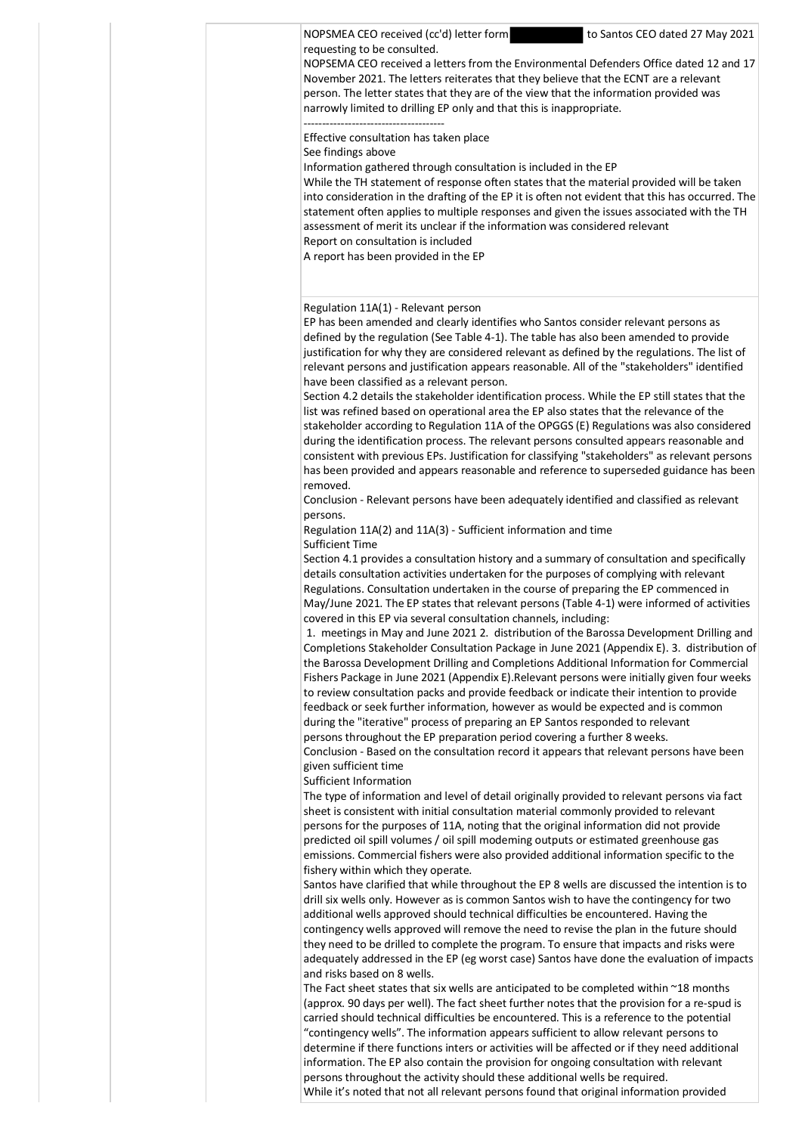NOPSMEA CEO received (cc'd) letter form to Santos CEO dated 27 May 2021 requesting to be consulted.

NOPSEMA CEO received a letters from the Environmental Defenders Office dated 12 and 17 November 2021. The letters reiterates that they believe that the ECNT are a relevant person. The letter states that they are of the view that the information provided was narrowly limited to drilling EP only and that this is inappropriate. --------------------------------------

Effective consultation has taken place See findings above

Information gathered through consultation is included in the EP

While the TH statement of response often states that the material provided will be taken into consideration in the drafting of the EP it is often not evident that this has occurred. The statement often applies to multiple responses and given the issues associated with the TH assessment of merit its unclear if the information was considered relevant Report on consultation is included

A report has been provided in the EP

## Regulation 11A(1) - Relevant person

EP has been amended and clearly identifies who Santos consider relevant persons as defined by the regulation (See Table 4-1). The table has also been amended to provide justification for why they are considered relevant as defined by the regulations. The list of relevant persons and justification appears reasonable. All of the "stakeholders" identified have been classified as a relevant person.

Section 4.2 details the stakeholder identification process. While the EP still states that the list was refined based on operational area the EP also states that the relevance of the stakeholder according to Regulation 11A of the OPGGS (E) Regulations was also considered during the identification process. The relevant persons consulted appears reasonable and consistent with previous EPs. Justification for classifying "stakeholders" as relevant persons has been provided and appears reasonable and reference to superseded guidance has been removed.

Conclusion - Relevant persons have been adequately identified and classified as relevant persons.

Regulation 11A(2) and 11A(3) - Sufficient information and time Sufficient Time

Section 4.1 provides a consultation history and a summary of consultation and specifically details consultation activities undertaken for the purposes of complying with relevant Regulations. Consultation undertaken in the course of preparing the EP commenced in May/June 2021. The EP states that relevant persons (Table 4-1) were informed of activities covered in this EP via several consultation channels, including:

1. meetings in May and June 2021 2. distribution of the Barossa Development Drilling and Completions Stakeholder Consultation Package in June 2021 (Appendix E). 3. distribution of the Barossa Development Drilling and Completions Additional Information for Commercial Fishers Package in June 2021 (Appendix E).Relevant persons were initially given four weeks to review consultation packs and provide feedback or indicate their intention to provide feedback or seek further information, however as would be expected and is common during the "iterative" process of preparing an EP Santos responded to relevant persons throughout the EP preparation period covering a further 8 weeks. Conclusion - Based on the consultation record it appears that relevant persons have been given sufficient time

Sufficient Information

The type of information and level of detail originally provided to relevant persons via fact sheet is consistent with initial consultation material commonly provided to relevant persons for the purposes of 11A, noting that the original information did not provide predicted oil spill volumes / oil spill modeming outputs or estimated greenhouse gas emissions. Commercial fishers were also provided additional information specific to the fishery within which they operate.

Santos have clarified that while throughout the EP 8 wells are discussed the intention is to drill six wells only. However as is common Santos wish to have the contingency for two additional wells approved should technical difficulties be encountered. Having the contingency wells approved will remove the need to revise the plan in the future should they need to be drilled to complete the program. To ensure that impacts and risks were adequately addressed in the EP (eg worst case) Santos have done the evaluation of impacts and risks based on 8 wells.

The Fact sheet states that six wells are anticipated to be completed within ~18 months (approx. 90 days per well). The fact sheet further notes that the provision for a re-spud is carried should technical difficulties be encountered. This is a reference to the potential "contingency wells". The information appears sufficient to allow relevant persons to determine if there functions inters or activities will be affected or if they need additional information. The EP also contain the provision for ongoing consultation with relevant persons throughout the activity should these additional wells be required. While it's noted that not all relevant persons found that original information provided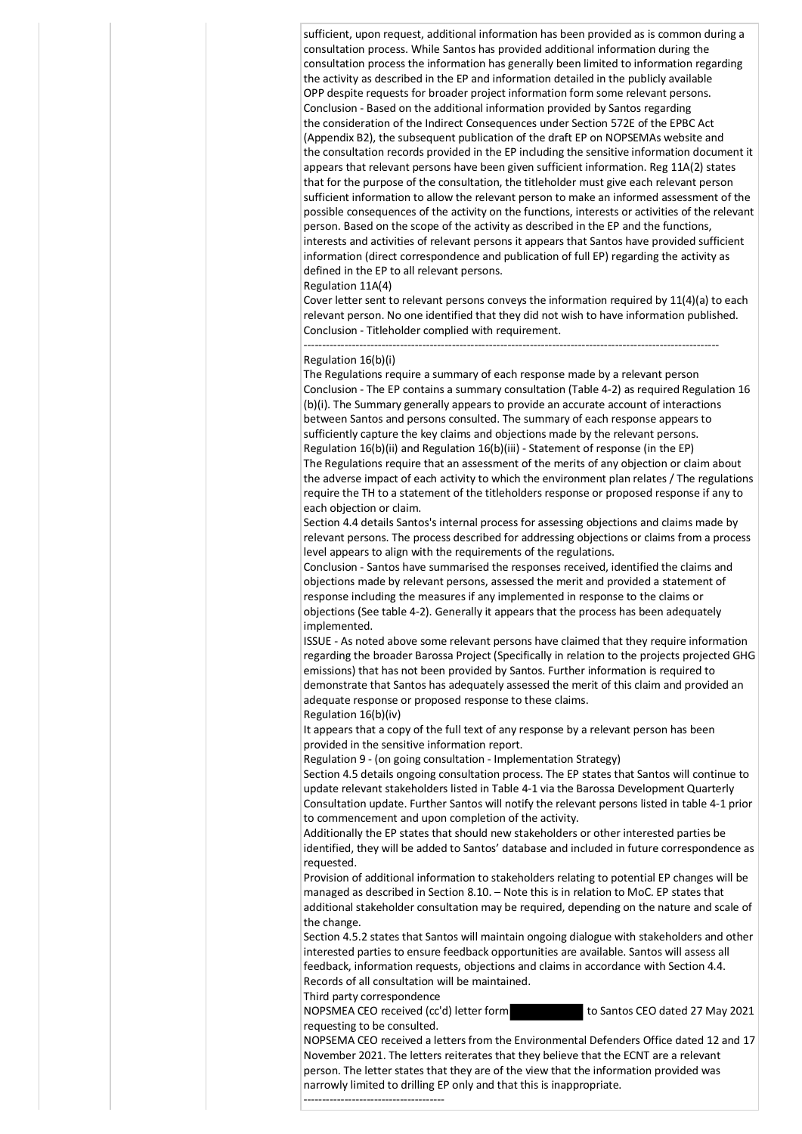sufficient, upon request, additional information has been provided as is common during a consultation process. While Santos has provided additional information during the consultation process the information has generally been limited to information regarding the activity as described in the EP and information detailed in the publicly available OPP despite requests for broader project information form some relevant persons. Conclusion - Based on the additional information provided by Santos regarding the consideration of the Indirect Consequences under Section 572E of the EPBC Act (Appendix B2), the subsequent publication of the draft EP on NOPSEMAs website and the consultation records provided in the EP including the sensitive information document it appears that relevant persons have been given sufficient information. Reg 11A(2) states that for the purpose of the consultation, the titleholder must give each relevant person sufficient information to allow the relevant person to make an informed assessment of the possible consequences of the activity on the functions, interests or activities of the relevant person. Based on the scope of the activity as described in the EP and the functions, interests and activities of relevant persons it appears that Santos have provided sufficient information (direct correspondence and publication of full EP) regarding the activity as defined in the EP to all relevant persons.

## Regulation 11A(4)

Cover letter sent to relevant persons conveys the information required by 11(4)(a) to each relevant person. No one identified that they did not wish to have information published. Conclusion - Titleholder complied with requirement.

----------------------------------------------------------------------------------------------------------------

## Regulation 16(b)(i)

The Regulations require a summary of each response made by a relevant person Conclusion - The EP contains a summary consultation (Table 4-2) as required Regulation 16 (b)(i). The Summary generally appears to provide an accurate account of interactions between Santos and persons consulted. The summary of each response appears to sufficiently capture the key claims and objections made by the relevant persons. Regulation 16(b)(ii) and Regulation 16(b)(iii) - Statement of response (in the EP) The Regulations require that an assessment of the merits of any objection or claim about the adverse impact of each activity to which the environment plan relates / The regulations require the TH to a statement of the titleholders response or proposed response if any to each objection or claim.

Section 4.4 details Santos's internal process for assessing objections and claims made by relevant persons. The process described for addressing objections or claims from a process level appears to align with the requirements of the regulations.

Conclusion - Santos have summarised the responses received, identified the claims and objections made by relevant persons, assessed the merit and provided a statement of response including the measures if any implemented in response to the claims or objections (See table 4-2). Generally it appears that the process has been adequately implemented.

ISSUE - As noted above some relevant persons have claimed that they require information regarding the broader Barossa Project (Specifically in relation to the projects projected GHG emissions) that has not been provided by Santos. Further information is required to demonstrate that Santos has adequately assessed the merit of this claim and provided an adequate response or proposed response to these claims.

Regulation 16(b)(iv)

It appears that a copy of the full text of any response by a relevant person has been provided in the sensitive information report.

Regulation 9 - (on going consultation - Implementation Strategy)

Section 4.5 details ongoing consultation process. The EP states that Santos will continue to update relevant stakeholders listed in Table 4-1 via the Barossa Development Quarterly Consultation update. Further Santos will notify the relevant persons listed in table 4-1 prior to commencement and upon completion of the activity.

Additionally the EP states that should new stakeholders or other interested parties be identified, they will be added to Santos' database and included in future correspondence as requested.

Provision of additional information to stakeholders relating to potential EP changes will be managed as described in Section 8.10. – Note this is in relation to MoC. EP states that additional stakeholder consultation may be required, depending on the nature and scale of the change.

Section 4.5.2 states that Santos will maintain ongoing dialogue with stakeholders and other interested parties to ensure feedback opportunities are available. Santos will assess all feedback, information requests, objections and claims in accordance with Section 4.4. Records of all consultation will be maintained.

Third party correspondence

NOPSMEA CEO received (cc'd) letter form to Santos CEO dated 27 May 2021 requesting to be consulted.

NOPSEMA CEO received a letters from the Environmental Defenders Office dated 12 and 17 November 2021. The letters reiterates that they believe that the ECNT are a relevant person. The letter states that they are of the view that the information provided was narrowly limited to drilling EP only and that this is inappropriate.

--------------------------------------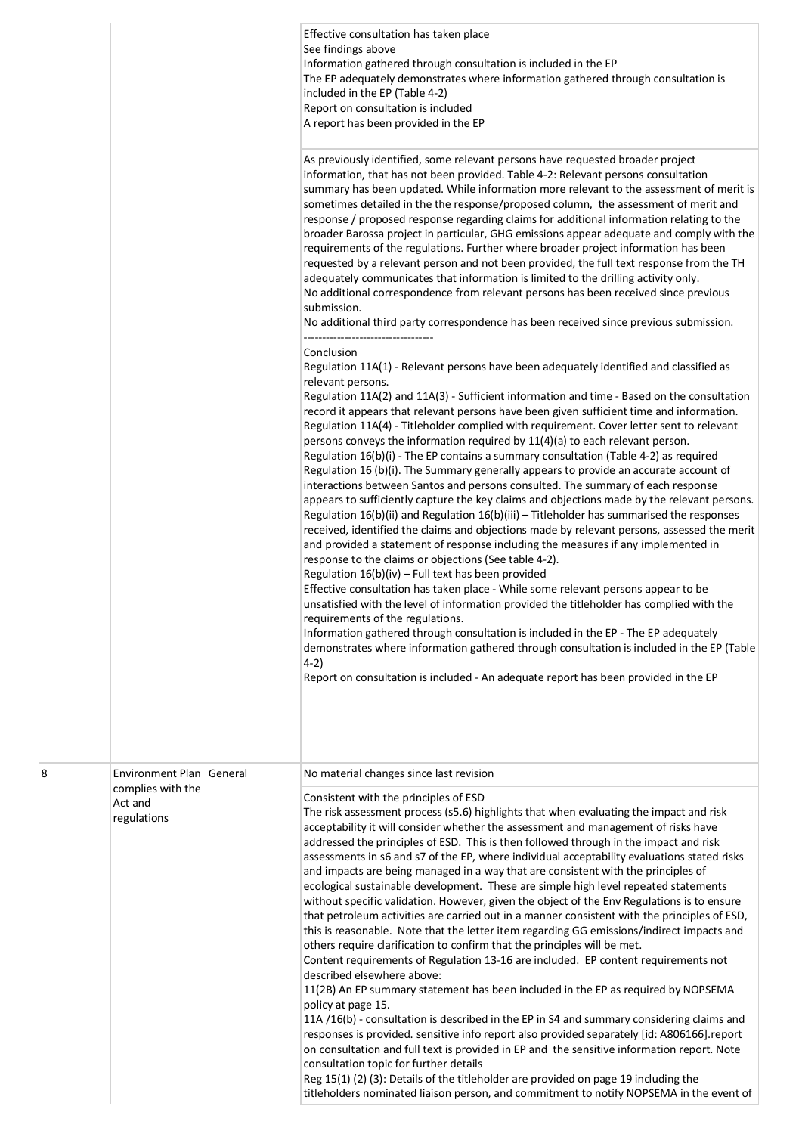|   |                                                                         | Effective consultation has taken place<br>See findings above<br>Information gathered through consultation is included in the EP<br>The EP adequately demonstrates where information gathered through consultation is<br>included in the EP (Table 4-2)<br>Report on consultation is included<br>A report has been provided in the EP<br>As previously identified, some relevant persons have requested broader project<br>information, that has not been provided. Table 4-2: Relevant persons consultation<br>summary has been updated. While information more relevant to the assessment of merit is<br>sometimes detailed in the the response/proposed column, the assessment of merit and<br>response / proposed response regarding claims for additional information relating to the<br>broader Barossa project in particular, GHG emissions appear adequate and comply with the<br>requirements of the regulations. Further where broader project information has been<br>requested by a relevant person and not been provided, the full text response from the TH<br>adequately communicates that information is limited to the drilling activity only.<br>No additional correspondence from relevant persons has been received since previous<br>submission.<br>No additional third party correspondence has been received since previous submission.<br>Conclusion<br>Regulation 11A(1) - Relevant persons have been adequately identified and classified as<br>relevant persons.<br>Regulation 11A(2) and 11A(3) - Sufficient information and time - Based on the consultation<br>record it appears that relevant persons have been given sufficient time and information.<br>Regulation 11A(4) - Titleholder complied with requirement. Cover letter sent to relevant<br>persons conveys the information required by 11(4)(a) to each relevant person.<br>Regulation 16(b)(i) - The EP contains a summary consultation (Table 4-2) as required<br>Regulation 16 (b)(i). The Summary generally appears to provide an accurate account of<br>interactions between Santos and persons consulted. The summary of each response<br>appears to sufficiently capture the key claims and objections made by the relevant persons.<br>Regulation 16(b)(ii) and Regulation 16(b)(iii) - Titleholder has summarised the responses<br>received, identified the claims and objections made by relevant persons, assessed the merit<br>and provided a statement of response including the measures if any implemented in<br>response to the claims or objections (See table 4-2).<br>Regulation $16(b)(iv)$ – Full text has been provided<br>Effective consultation has taken place - While some relevant persons appear to be<br>unsatisfied with the level of information provided the titleholder has complied with the<br>requirements of the regulations.<br>Information gathered through consultation is included in the EP - The EP adequately<br>demonstrates where information gathered through consultation is included in the EP (Table<br>$4-2)$<br>Report on consultation is included - An adequate report has been provided in the EP |
|---|-------------------------------------------------------------------------|--------------------------------------------------------------------------------------------------------------------------------------------------------------------------------------------------------------------------------------------------------------------------------------------------------------------------------------------------------------------------------------------------------------------------------------------------------------------------------------------------------------------------------------------------------------------------------------------------------------------------------------------------------------------------------------------------------------------------------------------------------------------------------------------------------------------------------------------------------------------------------------------------------------------------------------------------------------------------------------------------------------------------------------------------------------------------------------------------------------------------------------------------------------------------------------------------------------------------------------------------------------------------------------------------------------------------------------------------------------------------------------------------------------------------------------------------------------------------------------------------------------------------------------------------------------------------------------------------------------------------------------------------------------------------------------------------------------------------------------------------------------------------------------------------------------------------------------------------------------------------------------------------------------------------------------------------------------------------------------------------------------------------------------------------------------------------------------------------------------------------------------------------------------------------------------------------------------------------------------------------------------------------------------------------------------------------------------------------------------------------------------------------------------------------------------------------------------------------------------------------------------------------------------------------------------------------------------------------------------------------------------------------------------------------------------------------------------------------------------------------------------------------------------------------------------------------------------------------------------------------------------------------------------------------------------------------------------------------------------------------------------------------------------------------------------------------------------------------------------------------------------------------|
| 8 | Environment Plan General<br>complies with the<br>Act and<br>regulations | No material changes since last revision<br>Consistent with the principles of ESD<br>The risk assessment process (s5.6) highlights that when evaluating the impact and risk<br>acceptability it will consider whether the assessment and management of risks have<br>addressed the principles of ESD. This is then followed through in the impact and risk<br>assessments in s6 and s7 of the EP, where individual acceptability evaluations stated risks<br>and impacts are being managed in a way that are consistent with the principles of<br>ecological sustainable development. These are simple high level repeated statements<br>without specific validation. However, given the object of the Env Regulations is to ensure<br>that petroleum activities are carried out in a manner consistent with the principles of ESD,<br>this is reasonable. Note that the letter item regarding GG emissions/indirect impacts and<br>others require clarification to confirm that the principles will be met.<br>Content requirements of Regulation 13-16 are included. EP content requirements not<br>described elsewhere above:<br>11(2B) An EP summary statement has been included in the EP as required by NOPSEMA<br>policy at page 15.<br>11A /16(b) - consultation is described in the EP in S4 and summary considering claims and<br>responses is provided. sensitive info report also provided separately [id: A806166].report<br>on consultation and full text is provided in EP and the sensitive information report. Note<br>consultation topic for further details<br>Reg 15(1) (2) (3): Details of the titleholder are provided on page 19 including the<br>titleholders nominated liaison person, and commitment to notify NOPSEMA in the event of                                                                                                                                                                                                                                                                                                                                                                                                                                                                                                                                                                                                                                                                                                                                                                                                                                                                                                                                                                                                                                                                                                                                                                                                                                                                                                                                                                                  |